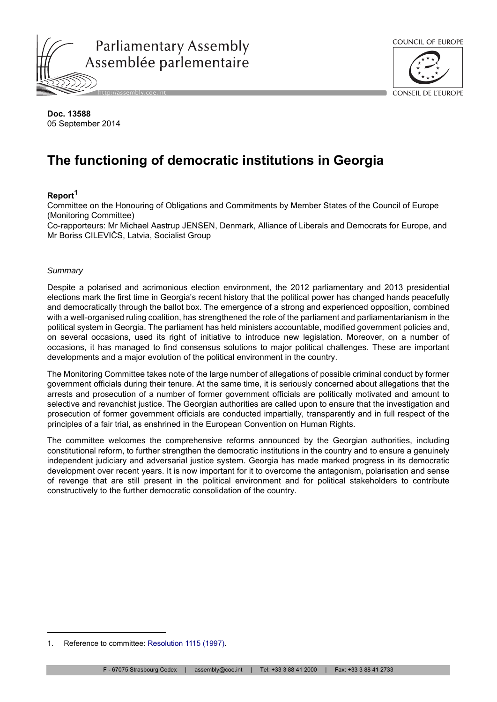



**Doc. 13588** 05 September 2014

# **The functioning of democratic institutions in Georgia**

# **Report<sup>1</sup>**

Committee on the Honouring of Obligations and Commitments by Member States of the Council of Europe (Monitoring Committee)

Co-rapporteurs: Mr Michael Aastrup JENSEN, Denmark, Alliance of Liberals and Democrats for Europe, and Mr Boriss CILEVIČS, Latvia, Socialist Group

#### *Summary*

Despite a polarised and acrimonious election environment, the 2012 parliamentary and 2013 presidential elections mark the first time in Georgia's recent history that the political power has changed hands peacefully and democratically through the ballot box. The emergence of a strong and experienced opposition, combined with a well-organised ruling coalition, has strengthened the role of the parliament and parliamentarianism in the political system in Georgia. The parliament has held ministers accountable, modified government policies and, on several occasions, used its right of initiative to introduce new legislation. Moreover, on a number of occasions, it has managed to find consensus solutions to major political challenges. These are important developments and a major evolution of the political environment in the country.

The Monitoring Committee takes note of the large number of allegations of possible criminal conduct by former government officials during their tenure. At the same time, it is seriously concerned about allegations that the arrests and prosecution of a number of former government officials are politically motivated and amount to selective and revanchist justice. The Georgian authorities are called upon to ensure that the investigation and prosecution of former government officials are conducted impartially, transparently and in full respect of the principles of a fair trial, as enshrined in the European Convention on Human Rights.

The committee welcomes the comprehensive reforms announced by the Georgian authorities, including constitutional reform, to further strengthen the democratic institutions in the country and to ensure a genuinely independent judiciary and adversarial justice system. Georgia has made marked progress in its democratic development over recent years. It is now important for it to overcome the antagonism, polarisation and sense of revenge that are still present in the political environment and for political stakeholders to contribute constructively to the further democratic consolidation of the country.

<sup>1.</sup> Reference to committee: [Resolution 1115 \(1997\).](http://assembly.coe.int/ASP/Doc/XrefViewHTML.asp?FileId=16526&Language=en)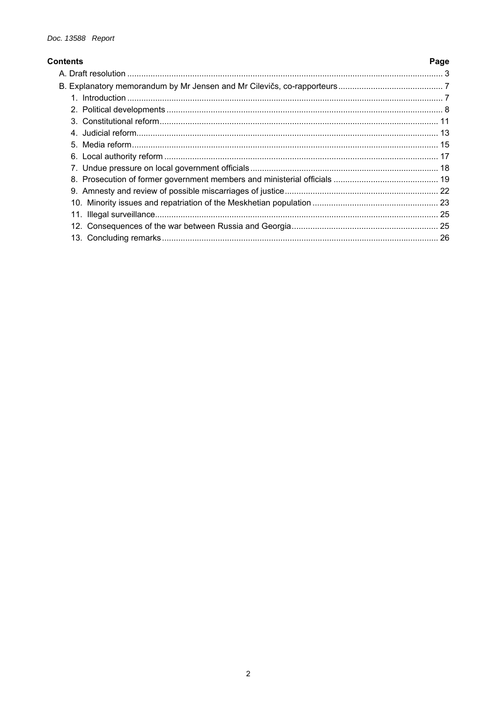| <b>Contents</b> | Page |
|-----------------|------|
|                 |      |
|                 |      |
|                 |      |
|                 |      |
|                 |      |
|                 |      |
|                 |      |
|                 |      |
|                 |      |
|                 |      |
|                 |      |
|                 |      |
|                 |      |
|                 |      |
|                 |      |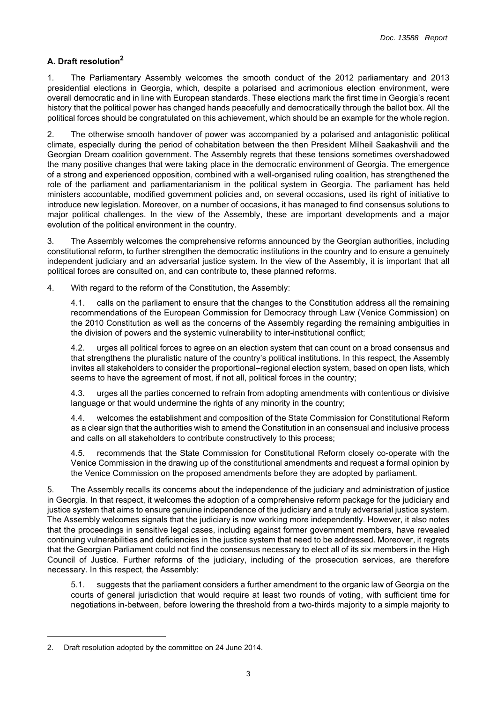# <span id="page-2-0"></span>**A. Draft resolution<sup>2</sup>**

1. The Parliamentary Assembly welcomes the smooth conduct of the 2012 parliamentary and 2013 presidential elections in Georgia, which, despite a polarised and acrimonious election environment, were overall democratic and in line with European standards. These elections mark the first time in Georgia's recent history that the political power has changed hands peacefully and democratically through the ballot box. All the political forces should be congratulated on this achievement, which should be an example for the whole region.

2. The otherwise smooth handover of power was accompanied by a polarised and antagonistic political climate, especially during the period of cohabitation between the then President Milheil Saakashvili and the Georgian Dream coalition government. The Assembly regrets that these tensions sometimes overshadowed the many positive changes that were taking place in the democratic environment of Georgia. The emergence of a strong and experienced opposition, combined with a well-organised ruling coalition, has strengthened the role of the parliament and parliamentarianism in the political system in Georgia. The parliament has held ministers accountable, modified government policies and, on several occasions, used its right of initiative to introduce new legislation. Moreover, on a number of occasions, it has managed to find consensus solutions to major political challenges. In the view of the Assembly, these are important developments and a major evolution of the political environment in the country.

3. The Assembly welcomes the comprehensive reforms announced by the Georgian authorities, including constitutional reform, to further strengthen the democratic institutions in the country and to ensure a genuinely independent judiciary and an adversarial justice system. In the view of the Assembly, it is important that all political forces are consulted on, and can contribute to, these planned reforms.

4. With regard to the reform of the Constitution, the Assembly:

4.1. calls on the parliament to ensure that the changes to the Constitution address all the remaining recommendations of the European Commission for Democracy through Law (Venice Commission) on the 2010 Constitution as well as the concerns of the Assembly regarding the remaining ambiguities in the division of powers and the systemic vulnerability to inter-institutional conflict;

4.2. urges all political forces to agree on an election system that can count on a broad consensus and that strengthens the pluralistic nature of the country's political institutions. In this respect, the Assembly invites all stakeholders to consider the proportional–regional election system, based on open lists, which seems to have the agreement of most, if not all, political forces in the country;

4.3. urges all the parties concerned to refrain from adopting amendments with contentious or divisive language or that would undermine the rights of any minority in the country;

4.4. welcomes the establishment and composition of the State Commission for Constitutional Reform as a clear sign that the authorities wish to amend the Constitution in an consensual and inclusive process and calls on all stakeholders to contribute constructively to this process;

4.5. recommends that the State Commission for Constitutional Reform closely co-operate with the Venice Commission in the drawing up of the constitutional amendments and request a formal opinion by the Venice Commission on the proposed amendments before they are adopted by parliament.

5. The Assembly recalls its concerns about the independence of the judiciary and administration of justice in Georgia. In that respect, it welcomes the adoption of a comprehensive reform package for the judiciary and justice system that aims to ensure genuine independence of the judiciary and a truly adversarial justice system. The Assembly welcomes signals that the judiciary is now working more independently. However, it also notes that the proceedings in sensitive legal cases, including against former government members, have revealed continuing vulnerabilities and deficiencies in the justice system that need to be addressed. Moreover, it regrets that the Georgian Parliament could not find the consensus necessary to elect all of its six members in the High Council of Justice. Further reforms of the judiciary, including of the prosecution services, are therefore necessary. In this respect, the Assembly:

5.1. suggests that the parliament considers a further amendment to the organic law of Georgia on the courts of general jurisdiction that would require at least two rounds of voting, with sufficient time for negotiations in-between, before lowering the threshold from a two-thirds majority to a simple majority to

<sup>2.</sup> Draft resolution adopted by the committee on 24 June 2014.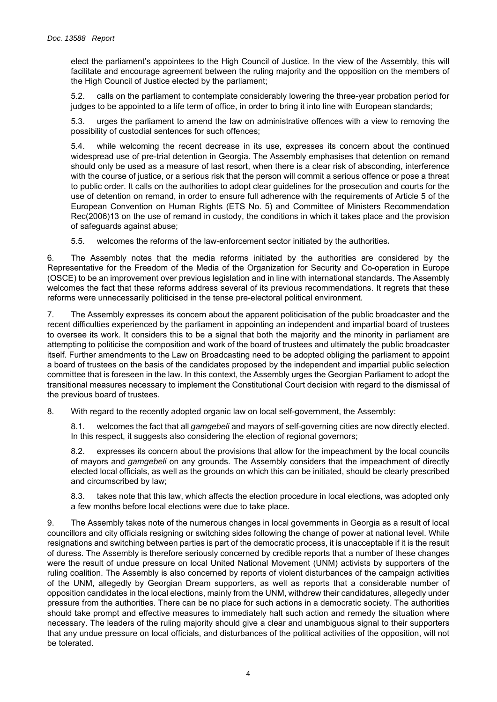elect the parliament's appointees to the High Council of Justice. In the view of the Assembly, this will facilitate and encourage agreement between the ruling majority and the opposition on the members of the High Council of Justice elected by the parliament;

5.2. calls on the parliament to contemplate considerably lowering the three-year probation period for judges to be appointed to a life term of office, in order to bring it into line with European standards;

5.3. urges the parliament to amend the law on administrative offences with a view to removing the possibility of custodial sentences for such offences;

5.4. while welcoming the recent decrease in its use, expresses its concern about the continued widespread use of pre-trial detention in Georgia. The Assembly emphasises that detention on remand should only be used as a measure of last resort, when there is a clear risk of absconding, interference with the course of justice, or a serious risk that the person will commit a serious offence or pose a threat to public order. It calls on the authorities to adopt clear guidelines for the prosecution and courts for the use of detention on remand, in order to ensure full adherence with the requirements of Article 5 of the European Convention on Human Rights (ETS No. 5) and Committee of Ministers Recommendation Rec(2006)13 on the use of remand in custody, the conditions in which it takes place and the provision of safeguards against abuse;

5.5. welcomes the reforms of the law-enforcement sector initiated by the authorities**.**

6. The Assembly notes that the media reforms initiated by the authorities are considered by the Representative for the Freedom of the Media of the Organization for Security and Co-operation in Europe (OSCE) to be an improvement over previous legislation and in line with international standards. The Assembly welcomes the fact that these reforms address several of its previous recommendations. It regrets that these reforms were unnecessarily politicised in the tense pre-electoral political environment.

7. The Assembly expresses its concern about the apparent politicisation of the public broadcaster and the recent difficulties experienced by the parliament in appointing an independent and impartial board of trustees to oversee its work. It considers this to be a signal that both the majority and the minority in parliament are attempting to politicise the composition and work of the board of trustees and ultimately the public broadcaster itself. Further amendments to the Law on Broadcasting need to be adopted obliging the parliament to appoint a board of trustees on the basis of the candidates proposed by the independent and impartial public selection committee that is foreseen in the law. In this context, the Assembly urges the Georgian Parliament to adopt the transitional measures necessary to implement the Constitutional Court decision with regard to the dismissal of the previous board of trustees.

8. With regard to the recently adopted organic law on local self-government, the Assembly:

8.1. welcomes the fact that all *gamgebeli* and mayors of self-governing cities are now directly elected. In this respect, it suggests also considering the election of regional governors;

8.2. expresses its concern about the provisions that allow for the impeachment by the local councils of mayors and *gamgebeli* on any grounds. The Assembly considers that the impeachment of directly elected local officials, as well as the grounds on which this can be initiated, should be clearly prescribed and circumscribed by law;

8.3. takes note that this law, which affects the election procedure in local elections, was adopted only a few months before local elections were due to take place.

9. The Assembly takes note of the numerous changes in local governments in Georgia as a result of local councillors and city officials resigning or switching sides following the change of power at national level. While resignations and switching between parties is part of the democratic process, it is unacceptable if it is the result of duress. The Assembly is therefore seriously concerned by credible reports that a number of these changes were the result of undue pressure on local United National Movement (UNM) activists by supporters of the ruling coalition. The Assembly is also concerned by reports of violent disturbances of the campaign activities of the UNM, allegedly by Georgian Dream supporters, as well as reports that a considerable number of opposition candidates in the local elections, mainly from the UNM, withdrew their candidatures, allegedly under pressure from the authorities. There can be no place for such actions in a democratic society. The authorities should take prompt and effective measures to immediately halt such action and remedy the situation where necessary. The leaders of the ruling majority should give a clear and unambiguous signal to their supporters that any undue pressure on local officials, and disturbances of the political activities of the opposition, will not be tolerated.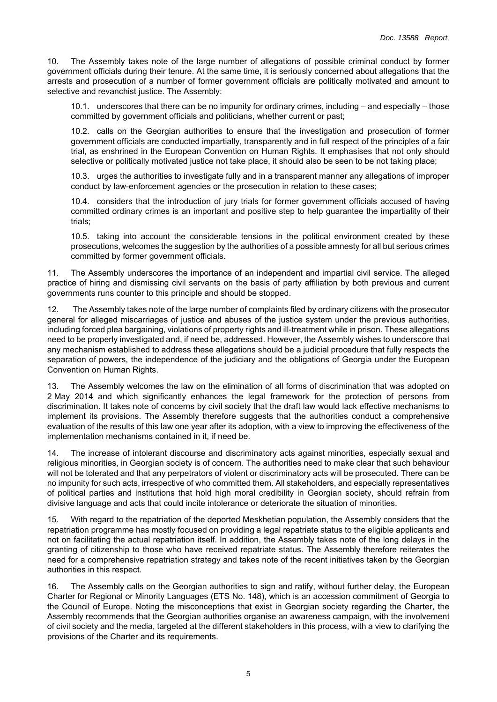10. The Assembly takes note of the large number of allegations of possible criminal conduct by former government officials during their tenure. At the same time, it is seriously concerned about allegations that the arrests and prosecution of a number of former government officials are politically motivated and amount to selective and revanchist justice. The Assembly:

10.1. underscores that there can be no impunity for ordinary crimes, including – and especially – those committed by government officials and politicians, whether current or past;

10.2. calls on the Georgian authorities to ensure that the investigation and prosecution of former government officials are conducted impartially, transparently and in full respect of the principles of a fair trial, as enshrined in the European Convention on Human Rights. It emphasises that not only should selective or politically motivated justice not take place, it should also be seen to be not taking place;

10.3. urges the authorities to investigate fully and in a transparent manner any allegations of improper conduct by law-enforcement agencies or the prosecution in relation to these cases;

10.4. considers that the introduction of jury trials for former government officials accused of having committed ordinary crimes is an important and positive step to help guarantee the impartiality of their trials;

10.5. taking into account the considerable tensions in the political environment created by these prosecutions, welcomes the suggestion by the authorities of a possible amnesty for all but serious crimes committed by former government officials.

11. The Assembly underscores the importance of an independent and impartial civil service. The alleged practice of hiring and dismissing civil servants on the basis of party affiliation by both previous and current governments runs counter to this principle and should be stopped.

12. The Assembly takes note of the large number of complaints filed by ordinary citizens with the prosecutor general for alleged miscarriages of justice and abuses of the justice system under the previous authorities, including forced plea bargaining, violations of property rights and ill-treatment while in prison. These allegations need to be properly investigated and, if need be, addressed. However, the Assembly wishes to underscore that any mechanism established to address these allegations should be a judicial procedure that fully respects the separation of powers, the independence of the judiciary and the obligations of Georgia under the European Convention on Human Rights.

13. The Assembly welcomes the law on the elimination of all forms of discrimination that was adopted on 2 May 2014 and which significantly enhances the legal framework for the protection of persons from discrimination. It takes note of concerns by civil society that the draft law would lack effective mechanisms to implement its provisions. The Assembly therefore suggests that the authorities conduct a comprehensive evaluation of the results of this law one year after its adoption, with a view to improving the effectiveness of the implementation mechanisms contained in it, if need be.

14. The increase of intolerant discourse and discriminatory acts against minorities, especially sexual and religious minorities, in Georgian society is of concern. The authorities need to make clear that such behaviour will not be tolerated and that any perpetrators of violent or discriminatory acts will be prosecuted. There can be no impunity for such acts, irrespective of who committed them. All stakeholders, and especially representatives of political parties and institutions that hold high moral credibility in Georgian society, should refrain from divisive language and acts that could incite intolerance or deteriorate the situation of minorities.

15. With regard to the repatriation of the deported Meskhetian population, the Assembly considers that the repatriation programme has mostly focused on providing a legal repatriate status to the eligible applicants and not on facilitating the actual repatriation itself. In addition, the Assembly takes note of the long delays in the granting of citizenship to those who have received repatriate status. The Assembly therefore reiterates the need for a comprehensive repatriation strategy and takes note of the recent initiatives taken by the Georgian authorities in this respect.

16. The Assembly calls on the Georgian authorities to sign and ratify, without further delay, the European Charter for Regional or Minority Languages (ETS No. 148), which is an accession commitment of Georgia to the Council of Europe. Noting the misconceptions that exist in Georgian society regarding the Charter, the Assembly recommends that the Georgian authorities organise an awareness campaign, with the involvement of civil society and the media, targeted at the different stakeholders in this process, with a view to clarifying the provisions of the Charter and its requirements.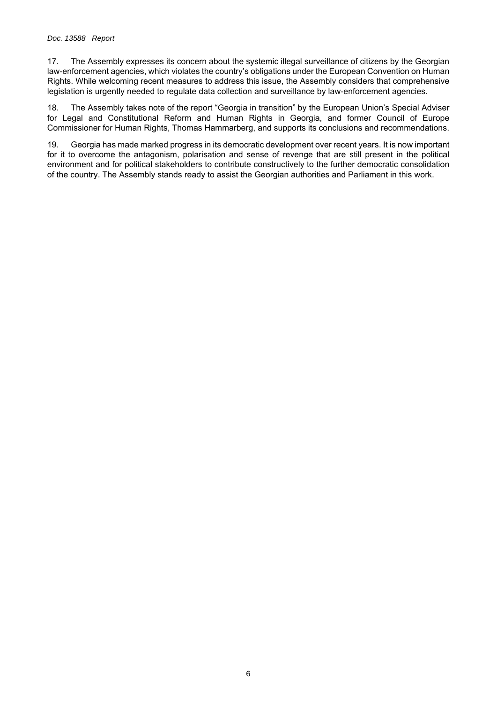17. The Assembly expresses its concern about the systemic illegal surveillance of citizens by the Georgian law-enforcement agencies, which violates the country's obligations under the European Convention on Human Rights. While welcoming recent measures to address this issue, the Assembly considers that comprehensive legislation is urgently needed to regulate data collection and surveillance by law-enforcement agencies.

18. The Assembly takes note of the report "Georgia in transition" by the European Union's Special Adviser for Legal and Constitutional Reform and Human Rights in Georgia, and former Council of Europe Commissioner for Human Rights, Thomas Hammarberg, and supports its conclusions and recommendations.

19. Georgia has made marked progress in its democratic development over recent years. It is now important for it to overcome the antagonism, polarisation and sense of revenge that are still present in the political environment and for political stakeholders to contribute constructively to the further democratic consolidation of the country. The Assembly stands ready to assist the Georgian authorities and Parliament in this work.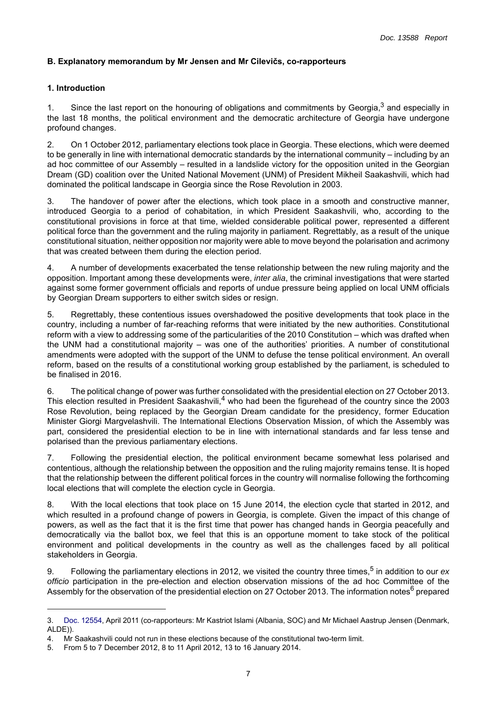# <span id="page-6-0"></span>**B. Explanatory memorandum by Mr Jensen and Mr Cilevičs, co-rapporteurs**

## <span id="page-6-1"></span>**1. Introduction**

1. Since the last report on the honouring of obligations and commitments by Georgia, $3$  and especially in the last 18 months, the political environment and the democratic architecture of Georgia have undergone profound changes.

2. On 1 October 2012, parliamentary elections took place in Georgia. These elections, which were deemed to be generally in line with international democratic standards by the international community – including by an ad hoc committee of our Assembly – resulted in a landslide victory for the opposition united in the Georgian Dream (GD) coalition over the United National Movement (UNM) of President Mikheil Saakashvili, which had dominated the political landscape in Georgia since the Rose Revolution in 2003.

3. The handover of power after the elections, which took place in a smooth and constructive manner, introduced Georgia to a period of cohabitation, in which President Saakashvili, who, according to the constitutional provisions in force at that time, wielded considerable political power, represented a different political force than the government and the ruling majority in parliament. Regrettably, as a result of the unique constitutional situation, neither opposition nor majority were able to move beyond the polarisation and acrimony that was created between them during the election period.

4. A number of developments exacerbated the tense relationship between the new ruling majority and the opposition. Important among these developments were, *inter alia*, the criminal investigations that were started against some former government officials and reports of undue pressure being applied on local UNM officials by Georgian Dream supporters to either switch sides or resign.

5. Regrettably, these contentious issues overshadowed the positive developments that took place in the country, including a number of far-reaching reforms that were initiated by the new authorities. Constitutional reform with a view to addressing some of the particularities of the 2010 Constitution – which was drafted when the UNM had a constitutional majority – was one of the authorities' priorities. A number of constitutional amendments were adopted with the support of the UNM to defuse the tense political environment. An overall reform, based on the results of a constitutional working group established by the parliament, is scheduled to be finalised in 2016.

6. The political change of power was further consolidated with the presidential election on 27 October 2013. This election resulted in President Saakashvili,<sup>4</sup> who had been the figurehead of the country since the 2003 Rose Revolution, being replaced by the Georgian Dream candidate for the presidency, former Education Minister Giorgi Margvelashvili. The International Elections Observation Mission, of which the Assembly was part, considered the presidential election to be in line with international standards and far less tense and polarised than the previous parliamentary elections.

7. Following the presidential election, the political environment became somewhat less polarised and contentious, although the relationship between the opposition and the ruling majority remains tense. It is hoped that the relationship between the different political forces in the country will normalise following the forthcoming local elections that will complete the election cycle in Georgia.

8. With the local elections that took place on 15 June 2014, the election cycle that started in 2012, and which resulted in a profound change of powers in Georgia, is complete. Given the impact of this change of powers, as well as the fact that it is the first time that power has changed hands in Georgia peacefully and democratically via the ballot box, we feel that this is an opportune moment to take stock of the political environment and political developments in the country as well as the challenges faced by all political stakeholders in Georgia.

9. Following the parliamentary elections in 2012, we visited the country three times,5 in addition to our *ex officio* participation in the pre-election and election observation missions of the ad hoc Committee of the Assembly for the observation of the presidential election on 27 October 2013. The information notes<sup>6</sup> prepared

<sup>3.</sup> [Doc. 12554](http://assembly.coe.int/ASP/Doc/XrefViewHTML.asp?FileId=12656&Language=en), April 2011 (co-rapporteurs: Mr Kastriot Islami (Albania, SOC) and Mr Michael Aastrup Jensen (Denmark, ALDE)).

<sup>4.</sup> Mr Saakashvili could not run in these elections because of the constitutional two-term limit.

<sup>5.</sup> From 5 to 7 December 2012, 8 to 11 April 2012, 13 to 16 January 2014.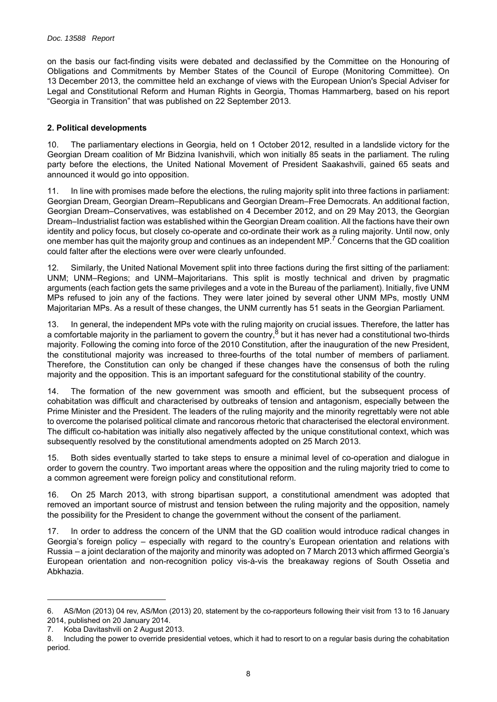on the basis our fact-finding visits were debated and declassified by the Committee on the Honouring of Obligations and Commitments by Member States of the Council of Europe (Monitoring Committee). On 13 December 2013, the committee held an exchange of views with the European Union's Special Adviser for Legal and Constitutional Reform and Human Rights in Georgia, Thomas Hammarberg, based on his report "Georgia in Transition" that was published on 22 September 2013.

## <span id="page-7-0"></span>**2. Political developments**

10. The parliamentary elections in Georgia, held on 1 October 2012, resulted in a landslide victory for the Georgian Dream coalition of Mr Bidzina Ivanishvili, which won initially 85 seats in the parliament. The ruling party before the elections, the United National Movement of President Saakashvili, gained 65 seats and announced it would go into opposition.

11. In line with promises made before the elections, the ruling majority split into three factions in parliament: Georgian Dream, Georgian Dream–Republicans and Georgian Dream–Free Democrats. An additional faction, Georgian Dream–Conservatives, was established on 4 December 2012, and on 29 May 2013, the Georgian Dream–Industrialist faction was established within the Georgian Dream coalition. All the factions have their own identity and policy focus, but closely co-operate and co-ordinate their work as a ruling majority. Until now, only one member has quit the majority group and continues as an independent MP.<sup>7</sup> Concerns that the GD coalition could falter after the elections were over were clearly unfounded.

12. Similarly, the United National Movement split into three factions during the first sitting of the parliament: UNM; UNM–Regions; and UNM–Majoritarians. This split is mostly technical and driven by pragmatic arguments (each faction gets the same privileges and a vote in the Bureau of the parliament). Initially, five UNM MPs refused to join any of the factions. They were later joined by several other UNM MPs, mostly UNM Majoritarian MPs. As a result of these changes, the UNM currently has 51 seats in the Georgian Parliament.

13. In general, the independent MPs vote with the ruling majority on crucial issues. Therefore, the latter has a comfortable majority in the parliament to govern the country,<sup>8</sup> but it has never had a constitutional two-thirds majority. Following the coming into force of the 2010 Constitution, after the inauguration of the new President, the constitutional majority was increased to three-fourths of the total number of members of parliament. Therefore, the Constitution can only be changed if these changes have the consensus of both the ruling majority and the opposition. This is an important safeguard for the constitutional stability of the country.

14. The formation of the new government was smooth and efficient, but the subsequent process of cohabitation was difficult and characterised by outbreaks of tension and antagonism, especially between the Prime Minister and the President. The leaders of the ruling majority and the minority regrettably were not able to overcome the polarised political climate and rancorous rhetoric that characterised the electoral environment. The difficult co-habitation was initially also negatively affected by the unique constitutional context, which was subsequently resolved by the constitutional amendments adopted on 25 March 2013.

15. Both sides eventually started to take steps to ensure a minimal level of co-operation and dialogue in order to govern the country. Two important areas where the opposition and the ruling majority tried to come to a common agreement were foreign policy and constitutional reform.

16. On 25 March 2013, with strong bipartisan support, a constitutional amendment was adopted that removed an important source of mistrust and tension between the ruling majority and the opposition, namely the possibility for the President to change the government without the consent of the parliament.

17. In order to address the concern of the UNM that the GD coalition would introduce radical changes in Georgia's foreign policy – especially with regard to the country's European orientation and relations with Russia – a joint declaration of the majority and minority was adopted on 7 March 2013 which affirmed Georgia's European orientation and non-recognition policy vis-à-vis the breakaway regions of South Ossetia and Abkhazia.

<sup>6.</sup> AS/Mon (2013) 04 rev, AS/Mon (2013) 20, statement by the co-rapporteurs following their visit from 13 to 16 January 2014, published on 20 January 2014.

<sup>7.</sup> Koba Davitashvili on 2 August 2013.

<sup>8.</sup> Including the power to override presidential vetoes, which it had to resort to on a regular basis during the cohabitation period.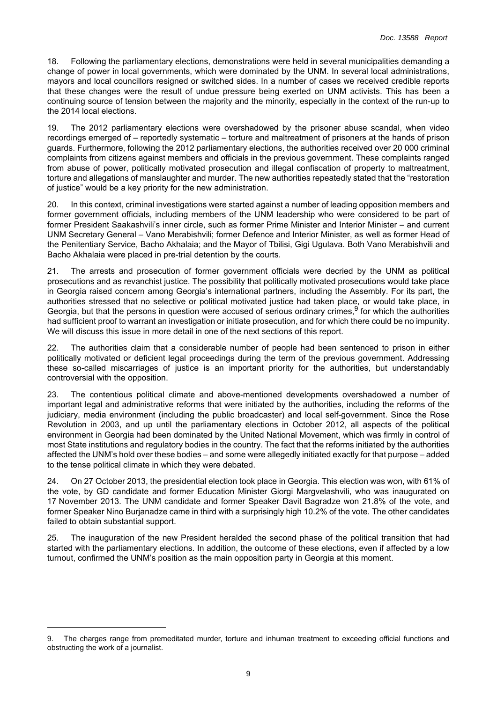18. Following the parliamentary elections, demonstrations were held in several municipalities demanding a change of power in local governments, which were dominated by the UNM. In several local administrations, mayors and local councillors resigned or switched sides. In a number of cases we received credible reports that these changes were the result of undue pressure being exerted on UNM activists. This has been a continuing source of tension between the majority and the minority, especially in the context of the run-up to the 2014 local elections.

19. The 2012 parliamentary elections were overshadowed by the prisoner abuse scandal, when video recordings emerged of – reportedly systematic – torture and maltreatment of prisoners at the hands of prison guards. Furthermore, following the 2012 parliamentary elections, the authorities received over 20 000 criminal complaints from citizens against members and officials in the previous government. These complaints ranged from abuse of power, politically motivated prosecution and illegal confiscation of property to maltreatment, torture and allegations of manslaughter and murder. The new authorities repeatedly stated that the "restoration of justice" would be a key priority for the new administration.

20. In this context, criminal investigations were started against a number of leading opposition members and former government officials, including members of the UNM leadership who were considered to be part of former President Saakashvili's inner circle, such as former Prime Minister and Interior Minister – and current UNM Secretary General – Vano Merabishvili; former Defence and Interior Minister, as well as former Head of the Penitentiary Service, Bacho Akhalaia; and the Mayor of Tbilisi, Gigi Ugulava. Both Vano Merabishvili and Bacho Akhalaia were placed in pre-trial detention by the courts.

21. The arrests and prosecution of former government officials were decried by the UNM as political prosecutions and as revanchist justice. The possibility that politically motivated prosecutions would take place in Georgia raised concern among Georgia's international partners, including the Assembly. For its part, the authorities stressed that no selective or political motivated justice had taken place, or would take place, in Georgia, but that the persons in question were accused of serious ordinary crimes,  $9$  for which the authorities had sufficient proof to warrant an investigation or initiate prosecution, and for which there could be no impunity. We will discuss this issue in more detail in one of the next sections of this report.

22. The authorities claim that a considerable number of people had been sentenced to prison in either politically motivated or deficient legal proceedings during the term of the previous government. Addressing these so-called miscarriages of justice is an important priority for the authorities, but understandably controversial with the opposition.

23. The contentious political climate and above-mentioned developments overshadowed a number of important legal and administrative reforms that were initiated by the authorities, including the reforms of the judiciary, media environment (including the public broadcaster) and local self-government. Since the Rose Revolution in 2003, and up until the parliamentary elections in October 2012, all aspects of the political environment in Georgia had been dominated by the United National Movement, which was firmly in control of most State institutions and regulatory bodies in the country. The fact that the reforms initiated by the authorities affected the UNM's hold over these bodies – and some were allegedly initiated exactly for that purpose – added to the tense political climate in which they were debated.

24. On 27 October 2013, the presidential election took place in Georgia. This election was won, with 61% of the vote, by GD candidate and former Education Minister Giorgi Margvelashvili, who was inaugurated on 17 November 2013. The UNM candidate and former Speaker Davit Bagradze won 21.8% of the vote, and former Speaker Nino Burjanadze came in third with a surprisingly high 10.2% of the vote. The other candidates failed to obtain substantial support.

25. The inauguration of the new President heralded the second phase of the political transition that had started with the parliamentary elections. In addition, the outcome of these elections, even if affected by a low turnout, confirmed the UNM's position as the main opposition party in Georgia at this moment.

<sup>9.</sup> The charges range from premeditated murder, torture and inhuman treatment to exceeding official functions and obstructing the work of a journalist.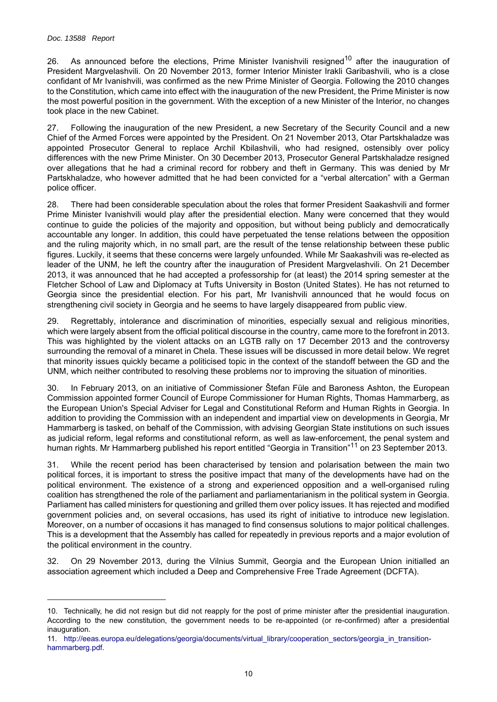#### *Doc. 13588 Report*

26. As announced before the elections. Prime Minister Ivanishvili resigned<sup>10</sup> after the inauguration of President Margvelashvili. On 20 November 2013, former Interior Minister Irakli Garibashvili, who is a close confidant of Mr Ivanishvili, was confirmed as the new Prime Minister of Georgia. Following the 2010 changes to the Constitution, which came into effect with the inauguration of the new President, the Prime Minister is now the most powerful position in the government. With the exception of a new Minister of the Interior, no changes took place in the new Cabinet.

27. Following the inauguration of the new President, a new Secretary of the Security Council and a new Chief of the Armed Forces were appointed by the President. On 21 November 2013, Otar Partskhaladze was appointed Prosecutor General to replace Archil Kbilashvili, who had resigned, ostensibly over policy differences with the new Prime Minister. On 30 December 2013, Prosecutor General Partskhaladze resigned over allegations that he had a criminal record for robbery and theft in Germany. This was denied by Mr Partskhaladze, who however admitted that he had been convicted for a "verbal altercation" with a German police officer.

28. There had been considerable speculation about the roles that former President Saakashvili and former Prime Minister Ivanishvili would play after the presidential election. Many were concerned that they would continue to guide the policies of the majority and opposition, but without being publicly and democratically accountable any longer. In addition, this could have perpetuated the tense relations between the opposition and the ruling majority which, in no small part, are the result of the tense relationship between these public figures. Luckily, it seems that these concerns were largely unfounded. While Mr Saakashvili was re-elected as leader of the UNM, he left the country after the inauguration of President Margvelashvili. On 21 December 2013, it was announced that he had accepted a professorship for (at least) the 2014 spring semester at the Fletcher School of Law and Diplomacy at Tufts University in Boston (United States). He has not returned to Georgia since the presidential election. For his part, Mr Ivanishvili announced that he would focus on strengthening civil society in Georgia and he seems to have largely disappeared from public view.

29. Regrettably, intolerance and discrimination of minorities, especially sexual and religious minorities, which were largely absent from the official political discourse in the country, came more to the forefront in 2013. This was highlighted by the violent attacks on an LGTB rally on 17 December 2013 and the controversy surrounding the removal of a minaret in Chela. These issues will be discussed in more detail below. We regret that minority issues quickly became a politicised topic in the context of the standoff between the GD and the UNM, which neither contributed to resolving these problems nor to improving the situation of minorities.

30. In February 2013, on an initiative of Commissioner Štefan Füle and Baroness Ashton, the European Commission appointed former Council of Europe Commissioner for Human Rights, Thomas Hammarberg, as the European Union's Special Adviser for Legal and Constitutional Reform and Human Rights in Georgia. In addition to providing the Commission with an independent and impartial view on developments in Georgia, Mr Hammarberg is tasked, on behalf of the Commission, with advising Georgian State institutions on such issues as judicial reform, legal reforms and constitutional reform, as well as law-enforcement, the penal system and human rights. Mr Hammarberg published his report entitled "Georgia in Transition"11 on 23 September 2013.

31. While the recent period has been characterised by tension and polarisation between the main two political forces, it is important to stress the positive impact that many of the developments have had on the political environment. The existence of a strong and experienced opposition and a well-organised ruling coalition has strengthened the role of the parliament and parliamentarianism in the political system in Georgia. Parliament has called ministers for questioning and grilled them over policy issues. It has rejected and modified government policies and, on several occasions, has used its right of initiative to introduce new legislation. Moreover, on a number of occasions it has managed to find consensus solutions to major political challenges. This is a development that the Assembly has called for repeatedly in previous reports and a major evolution of the political environment in the country.

32. On 29 November 2013, during the Vilnius Summit, Georgia and the European Union initialled an association agreement which included a Deep and Comprehensive Free Trade Agreement (DCFTA).

<sup>10.</sup> Technically, he did not resign but did not reapply for the post of prime minister after the presidential inauguration. According to the new constitution, the government needs to be re-appointed (or re-confirmed) after a presidential inauguration.

<sup>11.</sup> [http://eeas.europa.eu/delegations/georgia/documents/virtual\\_library/cooperation\\_sectors/georgia\\_in\\_transition](http://eeas.europa.eu/delegations/georgia/documents/virtual_library/cooperation_sectors/georgia_in_transition-hammarberg.pdf)[hammarberg.pdf.](http://eeas.europa.eu/delegations/georgia/documents/virtual_library/cooperation_sectors/georgia_in_transition-hammarberg.pdf)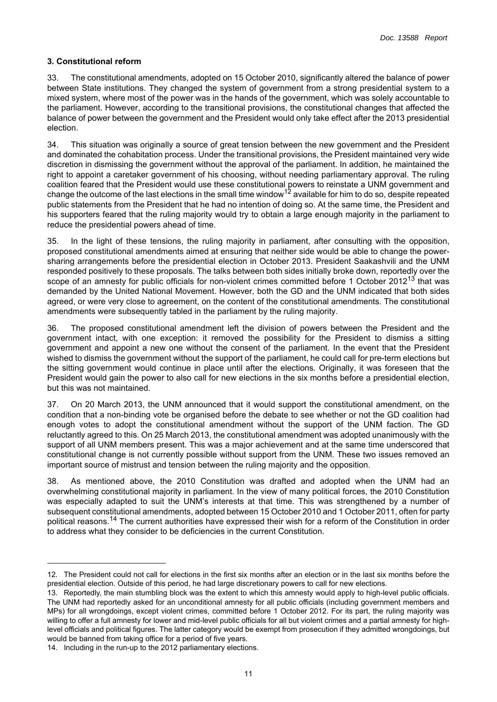# <span id="page-10-0"></span>**3. Constitutional reform**

33. The constitutional amendments, adopted on 15 October 2010, significantly altered the balance of power between State institutions. They changed the system of government from a strong presidential system to a mixed system, where most of the power was in the hands of the government, which was solely accountable to the parliament. However, according to the transitional provisions, the constitutional changes that affected the balance of power between the government and the President would only take effect after the 2013 presidential election.

34. This situation was originally a source of great tension between the new government and the President and dominated the cohabitation process. Under the transitional provisions, the President maintained very wide discretion in dismissing the government without the approval of the parliament. In addition, he maintained the right to appoint a caretaker government of his choosing, without needing parliamentary approval. The ruling coalition feared that the President would use these constitutional powers to reinstate a UNM government and change the outcome of the last elections in the small time window<sup>12</sup> available for him to do so, despite repeated public statements from the President that he had no intention of doing so. At the same time, the President and his supporters feared that the ruling majority would try to obtain a large enough majority in the parliament to reduce the presidential powers ahead of time.

35. In the light of these tensions, the ruling majority in parliament, after consulting with the opposition, proposed constitutional amendments aimed at ensuring that neither side would be able to change the powersharing arrangements before the presidential election in October 2013. President Saakashvili and the UNM responded positively to these proposals. The talks between both sides initially broke down, reportedly over the scope of an amnesty for public officials for non-violent crimes committed before 1 October 2012<sup>13</sup> that was demanded by the United National Movement. However, both the GD and the UNM indicated that both sides agreed, or were very close to agreement, on the content of the constitutional amendments. The constitutional amendments were subsequently tabled in the parliament by the ruling majority.

36. The proposed constitutional amendment left the division of powers between the President and the government intact, with one exception: it removed the possibility for the President to dismiss a sitting government and appoint a new one without the consent of the parliament. In the event that the President wished to dismiss the government without the support of the parliament, he could call for pre-term elections but the sitting government would continue in place until after the elections. Originally, it was foreseen that the President would gain the power to also call for new elections in the six months before a presidential election, but this was not maintained.

37. On 20 March 2013, the UNM announced that it would support the constitutional amendment, on the condition that a non-binding vote be organised before the debate to see whether or not the GD coalition had enough votes to adopt the constitutional amendment without the support of the UNM faction. The GD reluctantly agreed to this. On 25 March 2013, the constitutional amendment was adopted unanimously with the support of all UNM members present. This was a major achievement and at the same time underscored that constitutional change is not currently possible without support from the UNM. These two issues removed an important source of mistrust and tension between the ruling majority and the opposition.

38. As mentioned above, the 2010 Constitution was drafted and adopted when the UNM had an overwhelming constitutional majority in parliament. In the view of many political forces, the 2010 Constitution was especially adapted to suit the UNM's interests at that time. This was strengthened by a number of subsequent constitutional amendments, adopted between 15 October 2010 and 1 October 2011, often for party political reasons.<sup>14</sup> The current authorities have expressed their wish for a reform of the Constitution in order to address what they consider to be deficiencies in the current Constitution.

<sup>12.</sup> The President could not call for elections in the first six months after an election or in the last six months before the presidential election. Outside of this period, he had large discretionary powers to call for new elections.

<sup>13.</sup> Reportedly, the main stumbling block was the extent to which this amnesty would apply to high-level public officials. The UNM had reportedly asked for an unconditional amnesty for all public officials (including government members and MPs) for all wrongdoings, except violent crimes, committed before 1 October 2012. For its part, the ruling majority was willing to offer a full amnesty for lower and mid-level public officials for all but violent crimes and a partial amnesty for highlevel officials and political figures. The latter category would be exempt from prosecution if they admitted wrongdoings, but would be banned from taking office for a period of five years.

<sup>14.</sup> Including in the run-up to the 2012 parliamentary elections.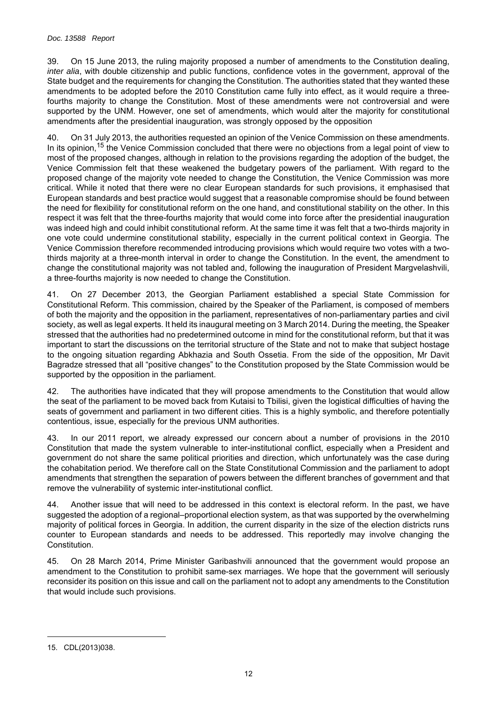#### *Doc. 13588 Report*

39. On 15 June 2013, the ruling majority proposed a number of amendments to the Constitution dealing, *inter alia*, with double citizenship and public functions, confidence votes in the government, approval of the State budget and the requirements for changing the Constitution. The authorities stated that they wanted these amendments to be adopted before the 2010 Constitution came fully into effect, as it would require a threefourths majority to change the Constitution. Most of these amendments were not controversial and were supported by the UNM. However, one set of amendments, which would alter the majority for constitutional amendments after the presidential inauguration, was strongly opposed by the opposition

40. On 31 July 2013, the authorities requested an opinion of the Venice Commission on these amendments. In its opinion,<sup>15</sup> the Venice Commission concluded that there were no objections from a legal point of view to most of the proposed changes, although in relation to the provisions regarding the adoption of the budget, the Venice Commission felt that these weakened the budgetary powers of the parliament. With regard to the proposed change of the majority vote needed to change the Constitution, the Venice Commission was more critical. While it noted that there were no clear European standards for such provisions, it emphasised that European standards and best practice would suggest that a reasonable compromise should be found between the need for flexibility for constitutional reform on the one hand, and constitutional stability on the other. In this respect it was felt that the three-fourths majority that would come into force after the presidential inauguration was indeed high and could inhibit constitutional reform. At the same time it was felt that a two-thirds majority in one vote could undermine constitutional stability, especially in the current political context in Georgia. The Venice Commission therefore recommended introducing provisions which would require two votes with a twothirds majority at a three-month interval in order to change the Constitution. In the event, the amendment to change the constitutional majority was not tabled and, following the inauguration of President Margvelashvili, a three-fourths majority is now needed to change the Constitution.

41. On 27 December 2013, the Georgian Parliament established a special State Commission for Constitutional Reform. This commission, chaired by the Speaker of the Parliament, is composed of members of both the majority and the opposition in the parliament, representatives of non-parliamentary parties and civil society, as well as legal experts. It held its inaugural meeting on 3 March 2014. During the meeting, the Speaker stressed that the authorities had no predetermined outcome in mind for the constitutional reform, but that it was important to start the discussions on the territorial structure of the State and not to make that subject hostage to the ongoing situation regarding Abkhazia and South Ossetia. From the side of the opposition, Mr Davit Bagradze stressed that all "positive changes" to the Constitution proposed by the State Commission would be supported by the opposition in the parliament.

42. The authorities have indicated that they will propose amendments to the Constitution that would allow the seat of the parliament to be moved back from Kutaisi to Tbilisi, given the logistical difficulties of having the seats of government and parliament in two different cities. This is a highly symbolic, and therefore potentially contentious, issue, especially for the previous UNM authorities.

43. In our 2011 report, we already expressed our concern about a number of provisions in the 2010 Constitution that made the system vulnerable to inter-institutional conflict, especially when a President and government do not share the same political priorities and direction, which unfortunately was the case during the cohabitation period. We therefore call on the State Constitutional Commission and the parliament to adopt amendments that strengthen the separation of powers between the different branches of government and that remove the vulnerability of systemic inter-institutional conflict.

44. Another issue that will need to be addressed in this context is electoral reform. In the past, we have suggested the adoption of a regional–proportional election system, as that was supported by the overwhelming majority of political forces in Georgia. In addition, the current disparity in the size of the election districts runs counter to European standards and needs to be addressed. This reportedly may involve changing the Constitution.

45. On 28 March 2014, Prime Minister Garibashvili announced that the government would propose an amendment to the Constitution to prohibit same-sex marriages. We hope that the government will seriously reconsider its position on this issue and call on the parliament not to adopt any amendments to the Constitution that would include such provisions.

<sup>15.</sup> CDL(2013)038.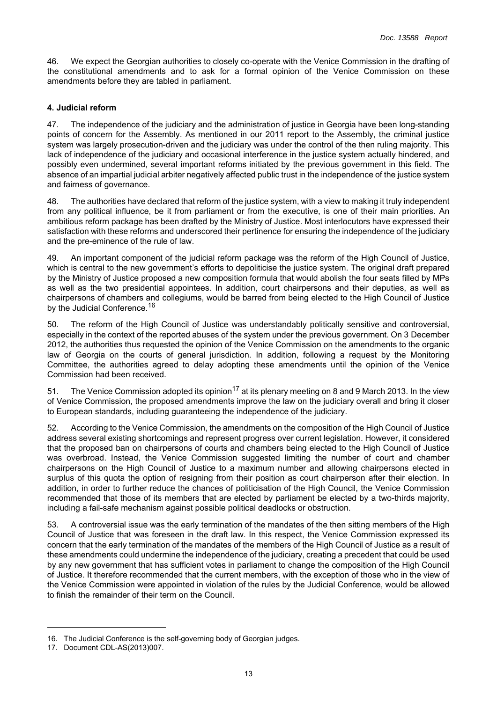46. We expect the Georgian authorities to closely co-operate with the Venice Commission in the drafting of the constitutional amendments and to ask for a formal opinion of the Venice Commission on these amendments before they are tabled in parliament.

# <span id="page-12-0"></span>**4. Judicial reform**

47. The independence of the judiciary and the administration of justice in Georgia have been long-standing points of concern for the Assembly. As mentioned in our 2011 report to the Assembly, the criminal justice system was largely prosecution-driven and the judiciary was under the control of the then ruling majority. This lack of independence of the judiciary and occasional interference in the justice system actually hindered, and possibly even undermined, several important reforms initiated by the previous government in this field. The absence of an impartial judicial arbiter negatively affected public trust in the independence of the justice system and fairness of governance.

48. The authorities have declared that reform of the justice system, with a view to making it truly independent from any political influence, be it from parliament or from the executive, is one of their main priorities. An ambitious reform package has been drafted by the Ministry of Justice. Most interlocutors have expressed their satisfaction with these reforms and underscored their pertinence for ensuring the independence of the judiciary and the pre-eminence of the rule of law.

49. An important component of the judicial reform package was the reform of the High Council of Justice, which is central to the new government's efforts to depoliticise the justice system. The original draft prepared by the Ministry of Justice proposed a new composition formula that would abolish the four seats filled by MPs as well as the two presidential appointees. In addition, court chairpersons and their deputies, as well as chairpersons of chambers and collegiums, would be barred from being elected to the High Council of Justice by the Judicial Conference.<sup>16</sup>

50. The reform of the High Council of Justice was understandably politically sensitive and controversial, especially in the context of the reported abuses of the system under the previous government. On 3 December 2012, the authorities thus requested the opinion of the Venice Commission on the amendments to the organic law of Georgia on the courts of general jurisdiction. In addition, following a request by the Monitoring Committee, the authorities agreed to delay adopting these amendments until the opinion of the Venice Commission had been received.

51. The Venice Commission adopted its opinion<sup>17</sup> at its plenary meeting on 8 and 9 March 2013. In the view of Venice Commission, the proposed amendments improve the law on the judiciary overall and bring it closer to European standards, including guaranteeing the independence of the judiciary.

52. According to the Venice Commission, the amendments on the composition of the High Council of Justice address several existing shortcomings and represent progress over current legislation. However, it considered that the proposed ban on chairpersons of courts and chambers being elected to the High Council of Justice was overbroad. Instead, the Venice Commission suggested limiting the number of court and chamber chairpersons on the High Council of Justice to a maximum number and allowing chairpersons elected in surplus of this quota the option of resigning from their position as court chairperson after their election. In addition, in order to further reduce the chances of politicisation of the High Council, the Venice Commission recommended that those of its members that are elected by parliament be elected by a two-thirds majority, including a fail-safe mechanism against possible political deadlocks or obstruction.

53. A controversial issue was the early termination of the mandates of the then sitting members of the High Council of Justice that was foreseen in the draft law. In this respect, the Venice Commission expressed its concern that the early termination of the mandates of the members of the High Council of Justice as a result of these amendments could undermine the independence of the judiciary, creating a precedent that could be used by any new government that has sufficient votes in parliament to change the composition of the High Council of Justice. It therefore recommended that the current members, with the exception of those who in the view of the Venice Commission were appointed in violation of the rules by the Judicial Conference, would be allowed to finish the remainder of their term on the Council.

<sup>16.</sup> The Judicial Conference is the self-governing body of Georgian judges.

<sup>17.</sup> Document CDL-AS(2013)007.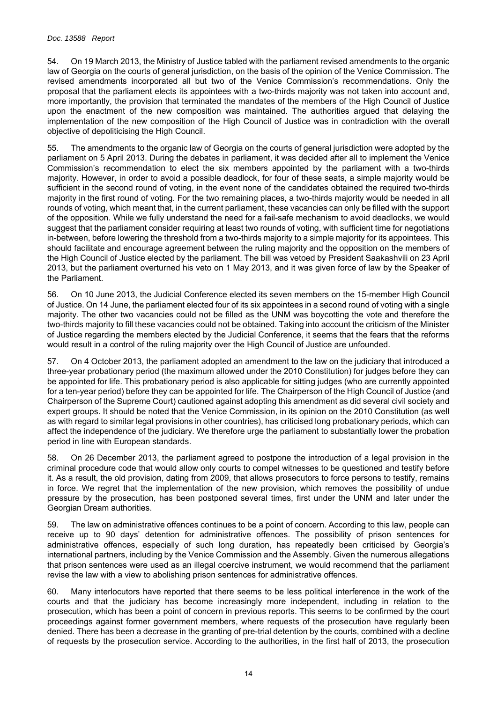#### *Doc. 13588 Report*

54. On 19 March 2013, the Ministry of Justice tabled with the parliament revised amendments to the organic law of Georgia on the courts of general jurisdiction, on the basis of the opinion of the Venice Commission. The revised amendments incorporated all but two of the Venice Commission's recommendations. Only the proposal that the parliament elects its appointees with a two-thirds majority was not taken into account and, more importantly, the provision that terminated the mandates of the members of the High Council of Justice upon the enactment of the new composition was maintained. The authorities argued that delaying the implementation of the new composition of the High Council of Justice was in contradiction with the overall objective of depoliticising the High Council.

The amendments to the organic law of Georgia on the courts of general jurisdiction were adopted by the parliament on 5 April 2013. During the debates in parliament, it was decided after all to implement the Venice Commission's recommendation to elect the six members appointed by the parliament with a two-thirds majority. However, in order to avoid a possible deadlock, for four of these seats, a simple majority would be sufficient in the second round of voting, in the event none of the candidates obtained the required two-thirds majority in the first round of voting. For the two remaining places, a two-thirds majority would be needed in all rounds of voting, which meant that, in the current parliament, these vacancies can only be filled with the support of the opposition. While we fully understand the need for a fail-safe mechanism to avoid deadlocks, we would suggest that the parliament consider requiring at least two rounds of voting, with sufficient time for negotiations in-between, before lowering the threshold from a two-thirds majority to a simple majority for its appointees. This should facilitate and encourage agreement between the ruling majority and the opposition on the members of the High Council of Justice elected by the parliament. The bill was vetoed by President Saakashvili on 23 April 2013, but the parliament overturned his veto on 1 May 2013, and it was given force of law by the Speaker of the Parliament.

56. On 10 June 2013, the Judicial Conference elected its seven members on the 15-member High Council of Justice. On 14 June, the parliament elected four of its six appointees in a second round of voting with a single majority. The other two vacancies could not be filled as the UNM was boycotting the vote and therefore the two-thirds majority to fill these vacancies could not be obtained. Taking into account the criticism of the Minister of Justice regarding the members elected by the Judicial Conference, it seems that the fears that the reforms would result in a control of the ruling majority over the High Council of Justice are unfounded.

57. On 4 October 2013, the parliament adopted an amendment to the law on the judiciary that introduced a three-year probationary period (the maximum allowed under the 2010 Constitution) for judges before they can be appointed for life. This probationary period is also applicable for sitting judges (who are currently appointed for a ten-year period) before they can be appointed for life. The Chairperson of the High Council of Justice (and Chairperson of the Supreme Court) cautioned against adopting this amendment as did several civil society and expert groups. It should be noted that the Venice Commission, in its opinion on the 2010 Constitution (as well as with regard to similar legal provisions in other countries), has criticised long probationary periods, which can affect the independence of the judiciary. We therefore urge the parliament to substantially lower the probation period in line with European standards.

58. On 26 December 2013, the parliament agreed to postpone the introduction of a legal provision in the criminal procedure code that would allow only courts to compel witnesses to be questioned and testify before it. As a result, the old provision, dating from 2009, that allows prosecutors to force persons to testify, remains in force. We regret that the implementation of the new provision, which removes the possibility of undue pressure by the prosecution, has been postponed several times, first under the UNM and later under the Georgian Dream authorities.

59. The law on administrative offences continues to be a point of concern. According to this law, people can receive up to 90 days' detention for administrative offences. The possibility of prison sentences for administrative offences, especially of such long duration, has repeatedly been criticised by Georgia's international partners, including by the Venice Commission and the Assembly. Given the numerous allegations that prison sentences were used as an illegal coercive instrument, we would recommend that the parliament revise the law with a view to abolishing prison sentences for administrative offences.

60. Many interlocutors have reported that there seems to be less political interference in the work of the courts and that the judiciary has become increasingly more independent, including in relation to the prosecution, which has been a point of concern in previous reports. This seems to be confirmed by the court proceedings against former government members, where requests of the prosecution have regularly been denied. There has been a decrease in the granting of pre-trial detention by the courts, combined with a decline of requests by the prosecution service. According to the authorities, in the first half of 2013, the prosecution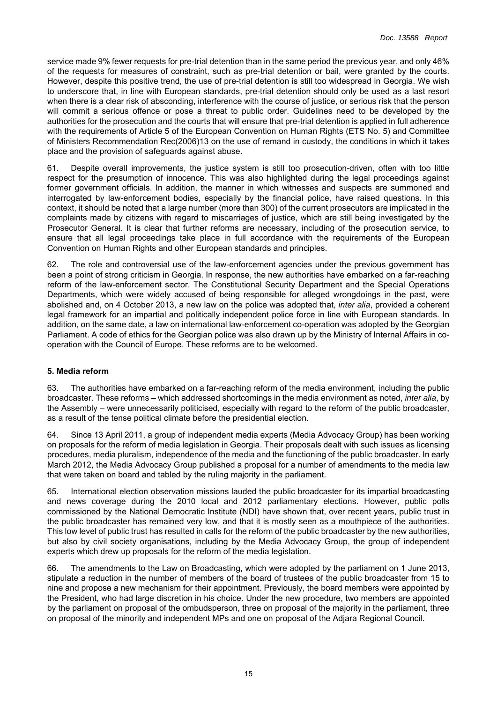service made 9% fewer requests for pre-trial detention than in the same period the previous year, and only 46% of the requests for measures of constraint, such as pre-trial detention or bail, were granted by the courts. However, despite this positive trend, the use of pre-trial detention is still too widespread in Georgia. We wish to underscore that, in line with European standards, pre-trial detention should only be used as a last resort when there is a clear risk of absconding, interference with the course of justice, or serious risk that the person will commit a serious offence or pose a threat to public order. Guidelines need to be developed by the authorities for the prosecution and the courts that will ensure that pre-trial detention is applied in full adherence with the requirements of Article 5 of the European Convention on Human Rights (ETS No. 5) and Committee of Ministers Recommendation Rec(2006)13 on the use of remand in custody, the conditions in which it takes place and the provision of safeguards against abuse.

61. Despite overall improvements, the justice system is still too prosecution-driven, often with too little respect for the presumption of innocence. This was also highlighted during the legal proceedings against former government officials. In addition, the manner in which witnesses and suspects are summoned and interrogated by law-enforcement bodies, especially by the financial police, have raised questions. In this context, it should be noted that a large number (more than 300) of the current prosecutors are implicated in the complaints made by citizens with regard to miscarriages of justice, which are still being investigated by the Prosecutor General. It is clear that further reforms are necessary, including of the prosecution service, to ensure that all legal proceedings take place in full accordance with the requirements of the European Convention on Human Rights and other European standards and principles.

62. The role and controversial use of the law-enforcement agencies under the previous government has been a point of strong criticism in Georgia. In response, the new authorities have embarked on a far-reaching reform of the law-enforcement sector. The Constitutional Security Department and the Special Operations Departments, which were widely accused of being responsible for alleged wrongdoings in the past, were abolished and, on 4 October 2013, a new law on the police was adopted that, *inter alia*, provided a coherent legal framework for an impartial and politically independent police force in line with European standards. In addition, on the same date, a law on international law-enforcement co-operation was adopted by the Georgian Parliament. A code of ethics for the Georgian police was also drawn up by the Ministry of Internal Affairs in cooperation with the Council of Europe. These reforms are to be welcomed.

## <span id="page-14-0"></span>**5. Media reform**

63. The authorities have embarked on a far-reaching reform of the media environment, including the public broadcaster. These reforms – which addressed shortcomings in the media environment as noted, *inter alia*, by the Assembly – were unnecessarily politicised, especially with regard to the reform of the public broadcaster, as a result of the tense political climate before the presidential election.

64. Since 13 April 2011, a group of independent media experts (Media Advocacy Group) has been working on proposals for the reform of media legislation in Georgia. Their proposals dealt with such issues as licensing procedures, media pluralism, independence of the media and the functioning of the public broadcaster. In early March 2012, the Media Advocacy Group published a proposal for a number of amendments to the media law that were taken on board and tabled by the ruling majority in the parliament.

65. International election observation missions lauded the public broadcaster for its impartial broadcasting and news coverage during the 2010 local and 2012 parliamentary elections. However, public polls commissioned by the National Democratic Institute (NDI) have shown that, over recent years, public trust in the public broadcaster has remained very low, and that it is mostly seen as a mouthpiece of the authorities. This low level of public trust has resulted in calls for the reform of the public broadcaster by the new authorities, but also by civil society organisations, including by the Media Advocacy Group, the group of independent experts which drew up proposals for the reform of the media legislation.

66. The amendments to the Law on Broadcasting, which were adopted by the parliament on 1 June 2013, stipulate a reduction in the number of members of the board of trustees of the public broadcaster from 15 to nine and propose a new mechanism for their appointment. Previously, the board members were appointed by the President, who had large discretion in his choice. Under the new procedure, two members are appointed by the parliament on proposal of the ombudsperson, three on proposal of the majority in the parliament, three on proposal of the minority and independent MPs and one on proposal of the Adjara Regional Council.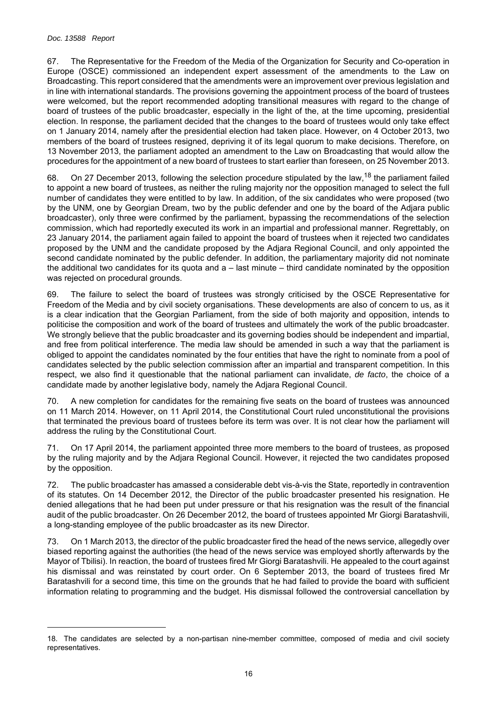#### *Doc. 13588 Report*

67. The Representative for the Freedom of the Media of the Organization for Security and Co-operation in Europe (OSCE) commissioned an independent expert assessment of the amendments to the Law on Broadcasting. This report considered that the amendments were an improvement over previous legislation and in line with international standards. The provisions governing the appointment process of the board of trustees were welcomed, but the report recommended adopting transitional measures with regard to the change of board of trustees of the public broadcaster, especially in the light of the, at the time upcoming, presidential election. In response, the parliament decided that the changes to the board of trustees would only take effect on 1 January 2014, namely after the presidential election had taken place. However, on 4 October 2013, two members of the board of trustees resigned, depriving it of its legal quorum to make decisions. Therefore, on 13 November 2013, the parliament adopted an amendment to the Law on Broadcasting that would allow the procedures for the appointment of a new board of trustees to start earlier than foreseen, on 25 November 2013.

On 27 December 2013, following the selection procedure stipulated by the law,<sup>18</sup> the parliament failed to appoint a new board of trustees, as neither the ruling majority nor the opposition managed to select the full number of candidates they were entitled to by law. In addition, of the six candidates who were proposed (two by the UNM, one by Georgian Dream, two by the public defender and one by the board of the Adjara public broadcaster), only three were confirmed by the parliament, bypassing the recommendations of the selection commission, which had reportedly executed its work in an impartial and professional manner. Regrettably, on 23 January 2014, the parliament again failed to appoint the board of trustees when it rejected two candidates proposed by the UNM and the candidate proposed by the Adjara Regional Council, and only appointed the second candidate nominated by the public defender. In addition, the parliamentary majority did not nominate the additional two candidates for its quota and  $a -$  last minute  $-$  third candidate nominated by the opposition was rejected on procedural grounds.

69. The failure to select the board of trustees was strongly criticised by the OSCE Representative for Freedom of the Media and by civil society organisations. These developments are also of concern to us, as it is a clear indication that the Georgian Parliament, from the side of both majority and opposition, intends to politicise the composition and work of the board of trustees and ultimately the work of the public broadcaster. We strongly believe that the public broadcaster and its governing bodies should be independent and impartial, and free from political interference. The media law should be amended in such a way that the parliament is obliged to appoint the candidates nominated by the four entities that have the right to nominate from a pool of candidates selected by the public selection commission after an impartial and transparent competition. In this respect, we also find it questionable that the national parliament can invalidate, *de facto*, the choice of a candidate made by another legislative body, namely the Adjara Regional Council.

70. A new completion for candidates for the remaining five seats on the board of trustees was announced on 11 March 2014. However, on 11 April 2014, the Constitutional Court ruled unconstitutional the provisions that terminated the previous board of trustees before its term was over. It is not clear how the parliament will address the ruling by the Constitutional Court.

71. On 17 April 2014, the parliament appointed three more members to the board of trustees, as proposed by the ruling majority and by the Adjara Regional Council. However, it rejected the two candidates proposed by the opposition.

72. The public broadcaster has amassed a considerable debt vis-à-vis the State, reportedly in contravention of its statutes. On 14 December 2012, the Director of the public broadcaster presented his resignation. He denied allegations that he had been put under pressure or that his resignation was the result of the financial audit of the public broadcaster. On 26 December 2012, the board of trustees appointed Mr Giorgi Baratashvili, a long-standing employee of the public broadcaster as its new Director.

73. On 1 March 2013, the director of the public broadcaster fired the head of the news service, allegedly over biased reporting against the authorities (the head of the news service was employed shortly afterwards by the Mayor of Tbilisi). In reaction, the board of trustees fired Mr Giorgi Baratashvili. He appealed to the court against his dismissal and was reinstated by court order. On 6 September 2013, the board of trustees fired Mr Baratashvili for a second time, this time on the grounds that he had failed to provide the board with sufficient information relating to programming and the budget. His dismissal followed the controversial cancellation by

<sup>18.</sup> The candidates are selected by a non-partisan nine-member committee, composed of media and civil society representatives.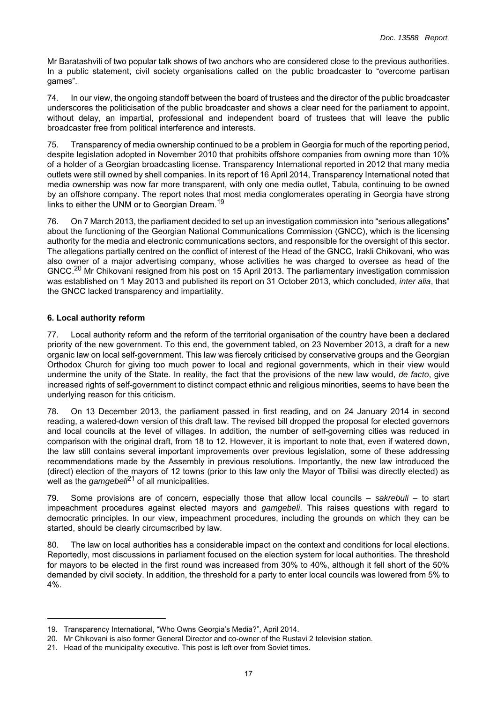Mr Baratashvili of two popular talk shows of two anchors who are considered close to the previous authorities. In a public statement, civil society organisations called on the public broadcaster to "overcome partisan games".

74. In our view, the ongoing standoff between the board of trustees and the director of the public broadcaster underscores the politicisation of the public broadcaster and shows a clear need for the parliament to appoint, without delay, an impartial, professional and independent board of trustees that will leave the public broadcaster free from political interference and interests.

75. Transparency of media ownership continued to be a problem in Georgia for much of the reporting period, despite legislation adopted in November 2010 that prohibits offshore companies from owning more than 10% of a holder of a Georgian broadcasting license. Transparency International reported in 2012 that many media outlets were still owned by shell companies. In its report of 16 April 2014, Transparency International noted that media ownership was now far more transparent, with only one media outlet, Tabula, continuing to be owned by an offshore company. The report notes that most media conglomerates operating in Georgia have strong links to either the UNM or to Georgian Dream.<sup>19</sup>

76. On 7 March 2013, the parliament decided to set up an investigation commission into "serious allegations" about the functioning of the Georgian National Communications Commission (GNCC), which is the licensing authority for the media and electronic communications sectors, and responsible for the oversight of this sector. The allegations partially centred on the conflict of interest of the Head of the GNCC, Irakli Chikovani, who was also owner of a major advertising company, whose activities he was charged to oversee as head of the GNCC.20 Mr Chikovani resigned from his post on 15 April 2013. The parliamentary investigation commission was established on 1 May 2013 and published its report on 31 October 2013, which concluded, *inter alia*, that the GNCC lacked transparency and impartiality.

# <span id="page-16-0"></span>**6. Local authority reform**

77. Local authority reform and the reform of the territorial organisation of the country have been a declared priority of the new government. To this end, the government tabled, on 23 November 2013, a draft for a new organic law on local self-government. This law was fiercely criticised by conservative groups and the Georgian Orthodox Church for giving too much power to local and regional governments, which in their view would undermine the unity of the State. In reality, the fact that the provisions of the new law would, *de facto*, give increased rights of self-government to distinct compact ethnic and religious minorities, seems to have been the underlying reason for this criticism.

78. On 13 December 2013, the parliament passed in first reading, and on 24 January 2014 in second reading, a watered-down version of this draft law. The revised bill dropped the proposal for elected governors and local councils at the level of villages. In addition, the number of self-governing cities was reduced in comparison with the original draft, from 18 to 12. However, it is important to note that, even if watered down, the law still contains several important improvements over previous legislation, some of these addressing recommendations made by the Assembly in previous resolutions. Importantly, the new law introduced the (direct) election of the mayors of 12 towns (prior to this law only the Mayor of Tbilisi was directly elected) as well as the *gamgebeli*21 of all municipalities.

79. Some provisions are of concern, especially those that allow local councils – *sakrebuli* – to start impeachment procedures against elected mayors and *gamgebeli*. This raises questions with regard to democratic principles. In our view, impeachment procedures, including the grounds on which they can be started, should be clearly circumscribed by law.

80. The law on local authorities has a considerable impact on the context and conditions for local elections. Reportedly, most discussions in parliament focused on the election system for local authorities. The threshold for mayors to be elected in the first round was increased from 30% to 40%, although it fell short of the 50% demanded by civil society. In addition, the threshold for a party to enter local councils was lowered from 5% to 4%.

<sup>19.</sup> Transparency International, "Who Owns Georgia's Media?", April 2014.

<sup>20.</sup> Mr Chikovani is also former General Director and co-owner of the Rustavi 2 television station.

<sup>21.</sup> Head of the municipality executive. This post is left over from Soviet times.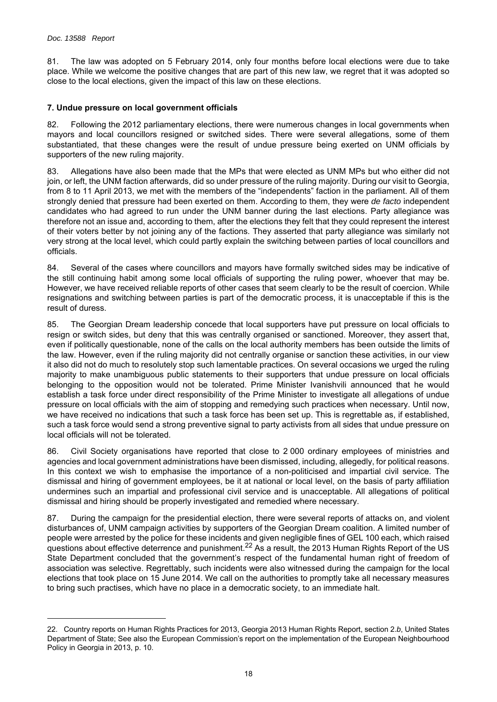81. The law was adopted on 5 February 2014, only four months before local elections were due to take place. While we welcome the positive changes that are part of this new law, we regret that it was adopted so close to the local elections, given the impact of this law on these elections.

## <span id="page-17-0"></span>**7. Undue pressure on local government officials**

82. Following the 2012 parliamentary elections, there were numerous changes in local governments when mayors and local councillors resigned or switched sides. There were several allegations, some of them substantiated, that these changes were the result of undue pressure being exerted on UNM officials by supporters of the new ruling majority.

83. Allegations have also been made that the MPs that were elected as UNM MPs but who either did not join, or left, the UNM faction afterwards, did so under pressure of the ruling majority. During our visit to Georgia, from 8 to 11 April 2013, we met with the members of the "independents" faction in the parliament. All of them strongly denied that pressure had been exerted on them. According to them, they were *de facto* independent candidates who had agreed to run under the UNM banner during the last elections. Party allegiance was therefore not an issue and, according to them, after the elections they felt that they could represent the interest of their voters better by not joining any of the factions. They asserted that party allegiance was similarly not very strong at the local level, which could partly explain the switching between parties of local councillors and officials.

84. Several of the cases where councillors and mayors have formally switched sides may be indicative of the still continuing habit among some local officials of supporting the ruling power, whoever that may be. However, we have received reliable reports of other cases that seem clearly to be the result of coercion. While resignations and switching between parties is part of the democratic process, it is unacceptable if this is the result of duress.

85. The Georgian Dream leadership concede that local supporters have put pressure on local officials to resign or switch sides, but deny that this was centrally organised or sanctioned. Moreover, they assert that, even if politically questionable, none of the calls on the local authority members has been outside the limits of the law. However, even if the ruling majority did not centrally organise or sanction these activities, in our view it also did not do much to resolutely stop such lamentable practices. On several occasions we urged the ruling majority to make unambiguous public statements to their supporters that undue pressure on local officials belonging to the opposition would not be tolerated. Prime Minister Ivanishvili announced that he would establish a task force under direct responsibility of the Prime Minister to investigate all allegations of undue pressure on local officials with the aim of stopping and remedying such practices when necessary. Until now, we have received no indications that such a task force has been set up. This is regrettable as, if established, such a task force would send a strong preventive signal to party activists from all sides that undue pressure on local officials will not be tolerated.

86. Civil Society organisations have reported that close to 2 000 ordinary employees of ministries and agencies and local government administrations have been dismissed, including, allegedly, for political reasons. In this context we wish to emphasise the importance of a non-politicised and impartial civil service. The dismissal and hiring of government employees, be it at national or local level, on the basis of party affiliation undermines such an impartial and professional civil service and is unacceptable. All allegations of political dismissal and hiring should be properly investigated and remedied where necessary.

87. During the campaign for the presidential election, there were several reports of attacks on, and violent disturbances of, UNM campaign activities by supporters of the Georgian Dream coalition. A limited number of people were arrested by the police for these incidents and given negligible fines of GEL 100 each, which raised questions about effective deterrence and punishment.<sup>22</sup> As a result, the 2013 Human Rights Report of the US State Department concluded that the government's respect of the fundamental human right of freedom of association was selective. Regrettably, such incidents were also witnessed during the campaign for the local elections that took place on 15 June 2014. We call on the authorities to promptly take all necessary measures to bring such practises, which have no place in a democratic society, to an immediate halt.

<sup>22.</sup> Country reports on Human Rights Practices for 2013, Georgia 2013 Human Rights Report, section 2.*b*, United States Department of State; See also the European Commission's report on the implementation of the European Neighbourhood Policy in Georgia in 2013, p. 10.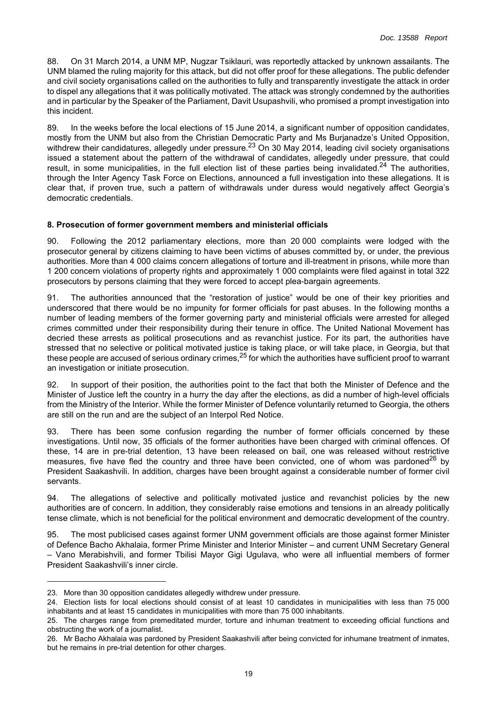88. On 31 March 2014, a UNM MP, Nugzar Tsiklauri, was reportedly attacked by unknown assailants. The UNM blamed the ruling majority for this attack, but did not offer proof for these allegations. The public defender and civil society organisations called on the authorities to fully and transparently investigate the attack in order to dispel any allegations that it was politically motivated. The attack was strongly condemned by the authorities and in particular by the Speaker of the Parliament, Davit Usupashvili, who promised a prompt investigation into this incident.

89. In the weeks before the local elections of 15 June 2014, a significant number of opposition candidates, mostly from the UNM but also from the Christian Democratic Party and Ms Burjanadze's United Opposition, withdrew their candidatures, allegedly under pressure.<sup>23</sup> On 30 May 2014, leading civil society organisations issued a statement about the pattern of the withdrawal of candidates, allegedly under pressure, that could result, in some municipalities, in the full election list of these parties being invalidated.<sup>24</sup> The authorities, through the Inter Agency Task Force on Elections, announced a full investigation into these allegations. It is clear that, if proven true, such a pattern of withdrawals under duress would negatively affect Georgia's democratic credentials.

# <span id="page-18-0"></span>**8. Prosecution of former government members and ministerial officials**

Following the 2012 parliamentary elections, more than 20 000 complaints were lodged with the prosecutor general by citizens claiming to have been victims of abuses committed by, or under, the previous authorities. More than 4 000 claims concern allegations of torture and ill-treatment in prisons, while more than 1 200 concern violations of property rights and approximately 1 000 complaints were filed against in total 322 prosecutors by persons claiming that they were forced to accept plea-bargain agreements.

91. The authorities announced that the "restoration of justice" would be one of their key priorities and underscored that there would be no impunity for former officials for past abuses. In the following months a number of leading members of the former governing party and ministerial officials were arrested for alleged crimes committed under their responsibility during their tenure in office. The United National Movement has decried these arrests as political prosecutions and as revanchist justice. For its part, the authorities have stressed that no selective or political motivated justice is taking place, or will take place, in Georgia, but that these people are accused of serious ordinary crimes,  $25$  for which the authorities have sufficient proof to warrant an investigation or initiate prosecution.

92. In support of their position, the authorities point to the fact that both the Minister of Defence and the Minister of Justice left the country in a hurry the day after the elections, as did a number of high-level officials from the Ministry of the Interior. While the former Minister of Defence voluntarily returned to Georgia, the others are still on the run and are the subject of an Interpol Red Notice.

93. There has been some confusion regarding the number of former officials concerned by these investigations. Until now, 35 officials of the former authorities have been charged with criminal offences. Of these, 14 are in pre-trial detention, 13 have been released on bail, one was released without restrictive measures, five have fled the country and three have been convicted, one of whom was pardoned<sup>26</sup> by President Saakashvili. In addition, charges have been brought against a considerable number of former civil servants.

94. The allegations of selective and politically motivated justice and revanchist policies by the new authorities are of concern. In addition, they considerably raise emotions and tensions in an already politically tense climate, which is not beneficial for the political environment and democratic development of the country.

95. The most publicised cases against former UNM government officials are those against former Minister of Defence Bacho Akhalaia, former Prime Minister and Interior Minister – and current UNM Secretary General – Vano Merabishvili, and former Tbilisi Mayor Gigi Ugulava, who were all influential members of former President Saakashvili's inner circle.

<sup>23.</sup> More than 30 opposition candidates allegedly withdrew under pressure.

<sup>24.</sup> Election lists for local elections should consist of at least 10 candidates in municipalities with less than 75 000 inhabitants and at least 15 candidates in municipalities with more than 75 000 inhabitants.

<sup>25.</sup> The charges range from premeditated murder, torture and inhuman treatment to exceeding official functions and obstructing the work of a journalist.

<sup>26.</sup> Mr Bacho Akhalaia was pardoned by President Saakashvili after being convicted for inhumane treatment of inmates, but he remains in pre-trial detention for other charges.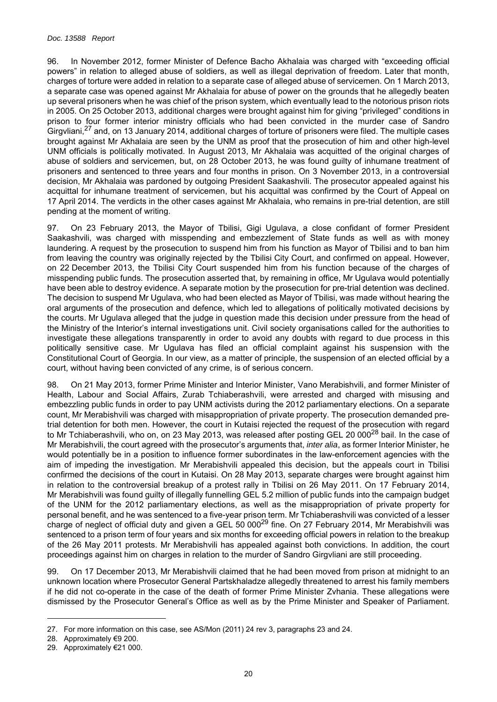96. In November 2012, former Minister of Defence Bacho Akhalaia was charged with "exceeding official powers" in relation to alleged abuse of soldiers, as well as illegal deprivation of freedom. Later that month, charges of torture were added in relation to a separate case of alleged abuse of servicemen. On 1 March 2013, a separate case was opened against Mr Akhalaia for abuse of power on the grounds that he allegedly beaten up several prisoners when he was chief of the prison system, which eventually lead to the notorious prison riots in 2005. On 25 October 2013, additional charges were brought against him for giving "privileged" conditions in prison to four former interior ministry officials who had been convicted in the murder case of Sandro Girgvliani,<sup>27</sup> and, on 13 January 2014, additional charges of torture of prisoners were filed. The multiple cases brought against Mr Akhalaia are seen by the UNM as proof that the prosecution of him and other high-level UNM officials is politically motivated. In August 2013, Mr Akhalaia was acquitted of the original charges of abuse of soldiers and servicemen, but, on 28 October 2013, he was found guilty of inhumane treatment of prisoners and sentenced to three years and four months in prison. On 3 November 2013, in a controversial decision, Mr Akhalaia was pardoned by outgoing President Saakashvili. The prosecutor appealed against his acquittal for inhumane treatment of servicemen, but his acquittal was confirmed by the Court of Appeal on 17 April 2014. The verdicts in the other cases against Mr Akhalaia, who remains in pre-trial detention, are still pending at the moment of writing.

97. On 23 February 2013, the Mayor of Tbilisi, Gigi Ugulava, a close confidant of former President Saakashvili, was charged with misspending and embezzlement of State funds as well as with money laundering. A request by the prosecution to suspend him from his function as Mayor of Tbilisi and to ban him from leaving the country was originally rejected by the Tbilisi City Court, and confirmed on appeal. However, on 22 December 2013, the Tbilisi City Court suspended him from his function because of the charges of misspending public funds. The prosecution asserted that, by remaining in office, Mr Ugulava would potentially have been able to destroy evidence. A separate motion by the prosecution for pre-trial detention was declined. The decision to suspend Mr Ugulava, who had been elected as Mayor of Tbilisi, was made without hearing the oral arguments of the prosecution and defence, which led to allegations of politically motivated decisions by the courts. Mr Ugulava alleged that the judge in question made this decision under pressure from the head of the Ministry of the Interior's internal investigations unit. Civil society organisations called for the authorities to investigate these allegations transparently in order to avoid any doubts with regard to due process in this politically sensitive case. Mr Ugulava has filed an official complaint against his suspension with the Constitutional Court of Georgia. In our view, as a matter of principle, the suspension of an elected official by a court, without having been convicted of any crime, is of serious concern.

98. On 21 May 2013, former Prime Minister and Interior Minister, Vano Merabishvili, and former Minister of Health, Labour and Social Affairs, Zurab Tchiaberashvili, were arrested and charged with misusing and embezzling public funds in order to pay UNM activists during the 2012 parliamentary elections. On a separate count, Mr Merabishvili was charged with misappropriation of private property. The prosecution demanded pretrial detention for both men. However, the court in Kutaisi rejected the request of the prosecution with regard to Mr Tchiaberashvili, who on, on 23 May 2013, was released after posting GEL 20 000<sup>28</sup> bail. In the case of Mr Merabishvili, the court agreed with the prosecutor's arguments that, *inter alia*, as former Interior Minister, he would potentially be in a position to influence former subordinates in the law-enforcement agencies with the aim of impeding the investigation. Mr Merabishvili appealed this decision, but the appeals court in Tbilisi confirmed the decisions of the court in Kutaisi. On 28 May 2013, separate charges were brought against him in relation to the controversial breakup of a protest rally in Tbilisi on 26 May 2011. On 17 February 2014, Mr Merabishvili was found guilty of illegally funnelling GEL 5.2 million of public funds into the campaign budget of the UNM for the 2012 parliamentary elections, as well as the misappropriation of private property for personal benefit, and he was sentenced to a five-year prison term. Mr Tchiaberashvili was convicted of a lesser charge of neglect of official duty and given a GEL 50 000<sup>29</sup> fine. On 27 February 2014, Mr Merabishvili was sentenced to a prison term of four years and six months for exceeding official powers in relation to the breakup of the 26 May 2011 protests. Mr Merabishvili has appealed against both convictions. In addition, the court proceedings against him on charges in relation to the murder of Sandro Girgvliani are still proceeding.

99. On 17 December 2013, Mr Merabishvili claimed that he had been moved from prison at midnight to an unknown location where Prosecutor General Partskhaladze allegedly threatened to arrest his family members if he did not co-operate in the case of the death of former Prime Minister Zvhania. These allegations were dismissed by the Prosecutor General's Office as well as by the Prime Minister and Speaker of Parliament.

<sup>27.</sup> For more information on this case, see AS/Mon (2011) 24 rev 3, paragraphs 23 and 24.

<sup>28.</sup> Approximately €9 200.

<sup>29.</sup> Approximately €21 000.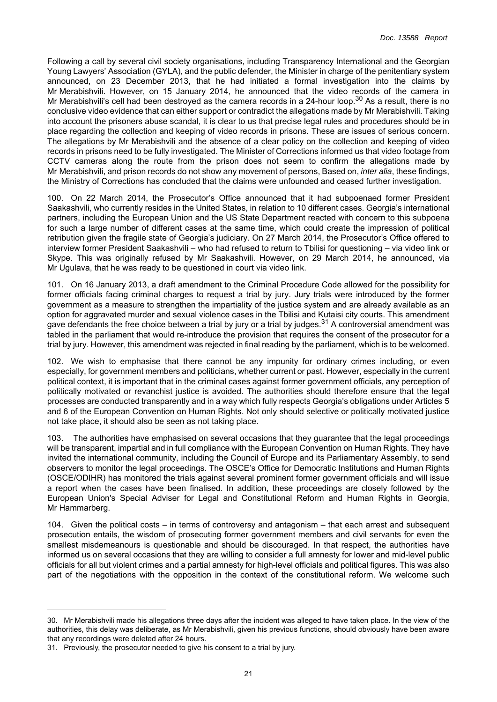Following a call by several civil society organisations, including Transparency International and the Georgian Young Lawyers' Association (GYLA), and the public defender, the Minister in charge of the penitentiary system announced, on 23 December 2013, that he had initiated a formal investigation into the claims by Mr Merabishvili. However, on 15 January 2014, he announced that the video records of the camera in Mr Merabishvili's cell had been destroyed as the camera records in a 24-hour loop.<sup>30</sup> As a result, there is no conclusive video evidence that can either support or contradict the allegations made by Mr Merabishvili. Taking into account the prisoners abuse scandal, it is clear to us that precise legal rules and procedures should be in place regarding the collection and keeping of video records in prisons. These are issues of serious concern. The allegations by Mr Merabishvili and the absence of a clear policy on the collection and keeping of video records in prisons need to be fully investigated. The Minister of Corrections informed us that video footage from CCTV cameras along the route from the prison does not seem to confirm the allegations made by Mr Merabishvili, and prison records do not show any movement of persons, Based on, *inter alia*, these findings, the Ministry of Corrections has concluded that the claims were unfounded and ceased further investigation.

100. On 22 March 2014, the Prosecutor's Office announced that it had subpoenaed former President Saakashvili, who currently resides in the United States, in relation to 10 different cases. Georgia's international partners, including the European Union and the US State Department reacted with concern to this subpoena for such a large number of different cases at the same time, which could create the impression of political retribution given the fragile state of Georgia's judiciary. On 27 March 2014, the Prosecutor's Office offered to interview former President Saakashvili – who had refused to return to Tbilisi for questioning – via video link or Skype. This was originally refused by Mr Saakashvili. However, on 29 March 2014, he announced, via Mr Ugulava, that he was ready to be questioned in court via video link.

101. On 16 January 2013, a draft amendment to the Criminal Procedure Code allowed for the possibility for former officials facing criminal charges to request a trial by jury. Jury trials were introduced by the former government as a measure to strengthen the impartiality of the justice system and are already available as an option for aggravated murder and sexual violence cases in the Tbilisi and Kutaisi city courts. This amendment gave defendants the free choice between a trial by jury or a trial by judges.<sup>31</sup> A controversial amendment was tabled in the parliament that would re-introduce the provision that requires the consent of the prosecutor for a trial by jury. However, this amendment was rejected in final reading by the parliament, which is to be welcomed.

102. We wish to emphasise that there cannot be any impunity for ordinary crimes including, or even especially, for government members and politicians, whether current or past. However, especially in the current political context, it is important that in the criminal cases against former government officials, any perception of politically motivated or revanchist justice is avoided. The authorities should therefore ensure that the legal processes are conducted transparently and in a way which fully respects Georgia's obligations under Articles 5 and 6 of the European Convention on Human Rights. Not only should selective or politically motivated justice not take place, it should also be seen as not taking place.

103. The authorities have emphasised on several occasions that they guarantee that the legal proceedings will be transparent, impartial and in full compliance with the European Convention on Human Rights. They have invited the international community, including the Council of Europe and its Parliamentary Assembly, to send observers to monitor the legal proceedings. The OSCE's Office for Democratic Institutions and Human Rights (OSCE/ODIHR) has monitored the trials against several prominent former government officials and will issue a report when the cases have been finalised. In addition, these proceedings are closely followed by the European Union's Special Adviser for Legal and Constitutional Reform and Human Rights in Georgia, Mr Hammarberg.

104. Given the political costs – in terms of controversy and antagonism – that each arrest and subsequent prosecution entails, the wisdom of prosecuting former government members and civil servants for even the smallest misdemeanours is questionable and should be discouraged. In that respect, the authorities have informed us on several occasions that they are willing to consider a full amnesty for lower and mid-level public officials for all but violent crimes and a partial amnesty for high-level officials and political figures. This was also part of the negotiations with the opposition in the context of the constitutional reform. We welcome such

<sup>30.</sup> Mr Merabishvili made his allegations three days after the incident was alleged to have taken place. In the view of the authorities, this delay was deliberate, as Mr Merabishvili, given his previous functions, should obviously have been aware that any recordings were deleted after 24 hours.

<sup>31.</sup> Previously, the prosecutor needed to give his consent to a trial by jury.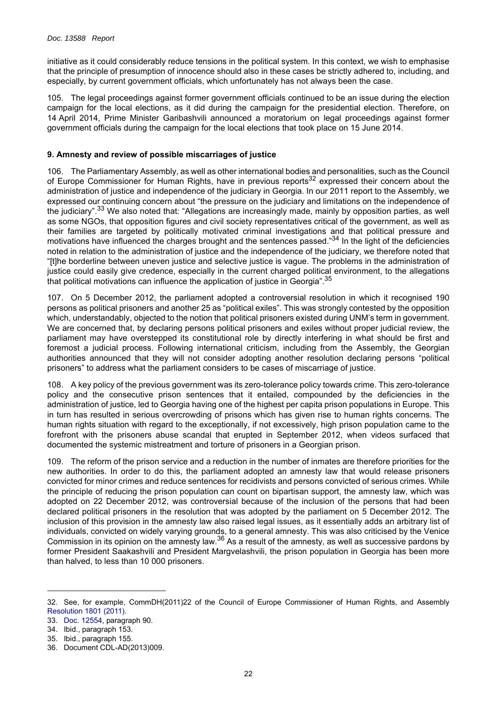initiative as it could considerably reduce tensions in the political system. In this context, we wish to emphasise that the principle of presumption of innocence should also in these cases be strictly adhered to, including, and especially, by current government officials, which unfortunately has not always been the case.

105. The legal proceedings against former government officials continued to be an issue during the election campaign for the local elections, as it did during the campaign for the presidential election. Therefore, on 14 April 2014, Prime Minister Garibashvili announced a moratorium on legal proceedings against former government officials during the campaign for the local elections that took place on 15 June 2014.

## <span id="page-21-0"></span>**9. Amnesty and review of possible miscarriages of justice**

106. The Parliamentary Assembly, as well as other international bodies and personalities, such as the Council of Europe Commissioner for Human Rights, have in previous reports<sup>32</sup> expressed their concern about the administration of justice and independence of the judiciary in Georgia. In our 2011 report to the Assembly, we expressed our continuing concern about "the pressure on the judiciary and limitations on the independence of the judiciary".<sup>33</sup> We also noted that: "Allegations are increasingly made, mainly by opposition parties, as well as some NGOs, that opposition figures and civil society representatives critical of the government, as well as their families are targeted by politically motivated criminal investigations and that political pressure and motivations have influenced the charges brought and the sentences passed."34 In the light of the deficiencies noted in relation to the administration of justice and the independence of the judiciary, we therefore noted that "[t]he borderline between uneven justice and selective justice is vague. The problems in the administration of justice could easily give credence, especially in the current charged political environment, to the allegations that political motivations can influence the application of justice in Georgia".<sup>35</sup>

107. On 5 December 2012, the parliament adopted a controversial resolution in which it recognised 190 persons as political prisoners and another 25 as "political exiles". This was strongly contested by the opposition which, understandably, objected to the notion that political prisoners existed during UNM's term in government. We are concerned that, by declaring persons political prisoners and exiles without proper judicial review, the parliament may have overstepped its constitutional role by directly interfering in what should be first and foremost a judicial process. Following international criticism, including from the Assembly, the Georgian authorities announced that they will not consider adopting another resolution declaring persons "political prisoners" to address what the parliament considers to be cases of miscarriage of justice.

108. A key policy of the previous government was its zero-tolerance policy towards crime. This zero-tolerance policy and the consecutive prison sentences that it entailed, compounded by the deficiencies in the administration of justice, led to Georgia having one of the highest per capita prison populations in Europe. This in turn has resulted in serious overcrowding of prisons which has given rise to human rights concerns. The human rights situation with regard to the exceptionally, if not excessively, high prison population came to the forefront with the prisoners abuse scandal that erupted in September 2012, when videos surfaced that documented the systemic mistreatment and torture of prisoners in a Georgian prison.

109. The reform of the prison service and a reduction in the number of inmates are therefore priorities for the new authorities. In order to do this, the parliament adopted an amnesty law that would release prisoners convicted for minor crimes and reduce sentences for recidivists and persons convicted of serious crimes. While the principle of reducing the prison population can count on bipartisan support, the amnesty law, which was adopted on 22 December 2012, was controversial because of the inclusion of the persons that had been declared political prisoners in the resolution that was adopted by the parliament on 5 December 2012. The inclusion of this provision in the amnesty law also raised legal issues, as it essentially adds an arbitrary list of individuals, convicted on widely varying grounds, to a general amnesty. This was also criticised by the Venice Commission in its opinion on the amnesty law.36 As a result of the amnesty, as well as successive pardons by former President Saakashvili and President Margvelashvili, the prison population in Georgia has been more than halved, to less than 10 000 prisoners.

<sup>32.</sup> See, for example, CommDH(2011)22 of the Council of Europe Commissioner of Human Rights, and Assembly [Resolution 1801 \(2011\)](http://assembly.coe.int/ASP/Doc/XrefViewHTML.asp?FileId=17976&Language=en).

<sup>33.</sup> [Doc. 12554](http://assembly.coe.int/ASP/Doc/XrefViewHTML.asp?FileId=12656&Language=en), paragraph 90.

<sup>34.</sup> Ibid., paragraph 153.

<sup>35.</sup> Ibid., paragraph 155.

<sup>36.</sup> Document CDL-AD(2013)009.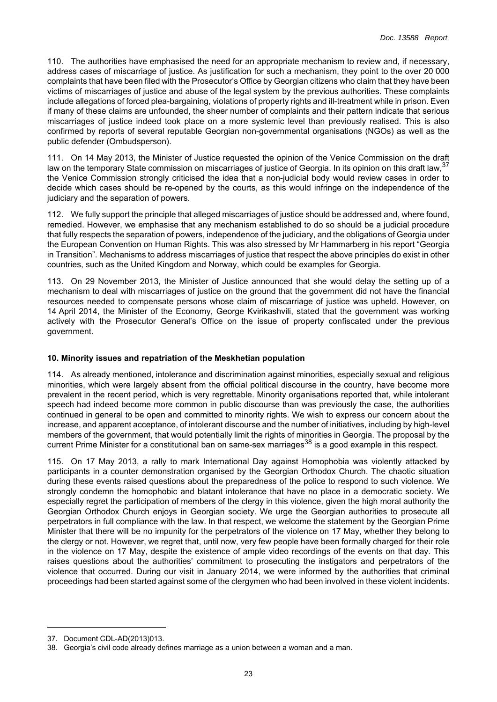110. The authorities have emphasised the need for an appropriate mechanism to review and, if necessary, address cases of miscarriage of justice. As justification for such a mechanism, they point to the over 20 000 complaints that have been filed with the Prosecutor's Office by Georgian citizens who claim that they have been victims of miscarriages of justice and abuse of the legal system by the previous authorities. These complaints include allegations of forced plea-bargaining, violations of property rights and ill-treatment while in prison. Even if many of these claims are unfounded, the sheer number of complaints and their pattern indicate that serious miscarriages of justice indeed took place on a more systemic level than previously realised. This is also confirmed by reports of several reputable Georgian non-governmental organisations (NGOs) as well as the public defender (Ombudsperson).

111. On 14 May 2013, the Minister of Justice requested the opinion of the Venice Commission on the draft law on the temporary State commission on miscarriages of justice of Georgia. In its opinion on this draft law, 37 the Venice Commission strongly criticised the idea that a non-judicial body would review cases in order to decide which cases should be re-opened by the courts, as this would infringe on the independence of the judiciary and the separation of powers.

112. We fully support the principle that alleged miscarriages of justice should be addressed and, where found, remedied. However, we emphasise that any mechanism established to do so should be a judicial procedure that fully respects the separation of powers, independence of the judiciary, and the obligations of Georgia under the European Convention on Human Rights. This was also stressed by Mr Hammarberg in his report "Georgia in Transition". Mechanisms to address miscarriages of justice that respect the above principles do exist in other countries, such as the United Kingdom and Norway, which could be examples for Georgia.

113. On 29 November 2013, the Minister of Justice announced that she would delay the setting up of a mechanism to deal with miscarriages of justice on the ground that the government did not have the financial resources needed to compensate persons whose claim of miscarriage of justice was upheld. However, on 14 April 2014, the Minister of the Economy, George Kvirikashvili, stated that the government was working actively with the Prosecutor General's Office on the issue of property confiscated under the previous government.

## <span id="page-22-0"></span>**10. Minority issues and repatriation of the Meskhetian population**

114. As already mentioned, intolerance and discrimination against minorities, especially sexual and religious minorities, which were largely absent from the official political discourse in the country, have become more prevalent in the recent period, which is very regrettable. Minority organisations reported that, while intolerant speech had indeed become more common in public discourse than was previously the case, the authorities continued in general to be open and committed to minority rights. We wish to express our concern about the increase, and apparent acceptance, of intolerant discourse and the number of initiatives, including by high-level members of the government, that would potentially limit the rights of minorities in Georgia. The proposal by the current Prime Minister for a constitutional ban on same-sex marriages<sup>38</sup> is a good example in this respect.

115. On 17 May 2013, a rally to mark International Day against Homophobia was violently attacked by participants in a counter demonstration organised by the Georgian Orthodox Church. The chaotic situation during these events raised questions about the preparedness of the police to respond to such violence. We strongly condemn the homophobic and blatant intolerance that have no place in a democratic society. We especially regret the participation of members of the clergy in this violence, given the high moral authority the Georgian Orthodox Church enjoys in Georgian society. We urge the Georgian authorities to prosecute all perpetrators in full compliance with the law. In that respect, we welcome the statement by the Georgian Prime Minister that there will be no impunity for the perpetrators of the violence on 17 May, whether they belong to the clergy or not. However, we regret that, until now, very few people have been formally charged for their role in the violence on 17 May, despite the existence of ample video recordings of the events on that day. This raises questions about the authorities' commitment to prosecuting the instigators and perpetrators of the violence that occurred. During our visit in January 2014, we were informed by the authorities that criminal proceedings had been started against some of the clergymen who had been involved in these violent incidents.

<sup>37.</sup> Document CDL-AD(2013)013.

<sup>38.</sup> Georgia's civil code already defines marriage as a union between a woman and a man.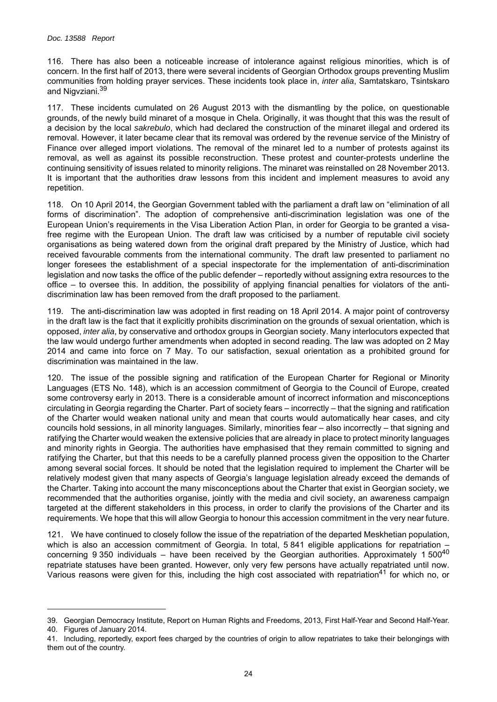116. There has also been a noticeable increase of intolerance against religious minorities, which is of concern. In the first half of 2013, there were several incidents of Georgian Orthodox groups preventing Muslim communities from holding prayer services. These incidents took place in, *inter alia*, Samtatskaro, Tsintskaro and Nigvziani.<sup>39</sup>

117. These incidents cumulated on 26 August 2013 with the dismantling by the police, on questionable grounds, of the newly build minaret of a mosque in Chela. Originally, it was thought that this was the result of a decision by the local *sakrebulo*, which had declared the construction of the minaret illegal and ordered its removal. However, it later became clear that its removal was ordered by the revenue service of the Ministry of Finance over alleged import violations. The removal of the minaret led to a number of protests against its removal, as well as against its possible reconstruction. These protest and counter-protests underline the continuing sensitivity of issues related to minority religions. The minaret was reinstalled on 28 November 2013. It is important that the authorities draw lessons from this incident and implement measures to avoid any repetition.

118. On 10 April 2014, the Georgian Government tabled with the parliament a draft law on "elimination of all forms of discrimination". The adoption of comprehensive anti-discrimination legislation was one of the European Union's requirements in the Visa Liberation Action Plan, in order for Georgia to be granted a visafree regime with the European Union. The draft law was criticised by a number of reputable civil society organisations as being watered down from the original draft prepared by the Ministry of Justice, which had received favourable comments from the international community. The draft law presented to parliament no longer foresees the establishment of a special inspectorate for the implementation of anti-discrimination legislation and now tasks the office of the public defender – reportedly without assigning extra resources to the office – to oversee this. In addition, the possibility of applying financial penalties for violators of the antidiscrimination law has been removed from the draft proposed to the parliament.

119. The anti-discrimination law was adopted in first reading on 18 April 2014. A major point of controversy in the draft law is the fact that it explicitly prohibits discrimination on the grounds of sexual orientation, which is opposed, *inter alia*, by conservative and orthodox groups in Georgian society. Many interlocutors expected that the law would undergo further amendments when adopted in second reading. The law was adopted on 2 May 2014 and came into force on 7 May. To our satisfaction, sexual orientation as a prohibited ground for discrimination was maintained in the law.

120. The issue of the possible signing and ratification of the European Charter for Regional or Minority Languages (ETS No. 148), which is an accession commitment of Georgia to the Council of Europe, created some controversy early in 2013. There is a considerable amount of incorrect information and misconceptions circulating in Georgia regarding the Charter. Part of society fears – incorrectly – that the signing and ratification of the Charter would weaken national unity and mean that courts would automatically hear cases, and city councils hold sessions, in all minority languages. Similarly, minorities fear – also incorrectly – that signing and ratifying the Charter would weaken the extensive policies that are already in place to protect minority languages and minority rights in Georgia. The authorities have emphasised that they remain committed to signing and ratifying the Charter, but that this needs to be a carefully planned process given the opposition to the Charter among several social forces. It should be noted that the legislation required to implement the Charter will be relatively modest given that many aspects of Georgia's language legislation already exceed the demands of the Charter. Taking into account the many misconceptions about the Charter that exist in Georgian society, we recommended that the authorities organise, jointly with the media and civil society, an awareness campaign targeted at the different stakeholders in this process, in order to clarify the provisions of the Charter and its requirements. We hope that this will allow Georgia to honour this accession commitment in the very near future.

121. We have continued to closely follow the issue of the repatriation of the departed Meskhetian population, which is also an accession commitment of Georgia. In total, 5 841 eligible applications for repatriation – concerning 9 350 individuals – have been received by the Georgian authorities. Approximately 1 500<sup>40</sup> repatriate statuses have been granted. However, only very few persons have actually repatriated until now. Various reasons were given for this, including the high cost associated with repatriation<sup>41</sup> for which no, or

<sup>39.</sup> Georgian Democracy Institute, Report on Human Rights and Freedoms, 2013, First Half-Year and Second Half-Year. 40. Figures of January 2014.

<sup>41.</sup> Including, reportedly, export fees charged by the countries of origin to allow repatriates to take their belongings with them out of the country.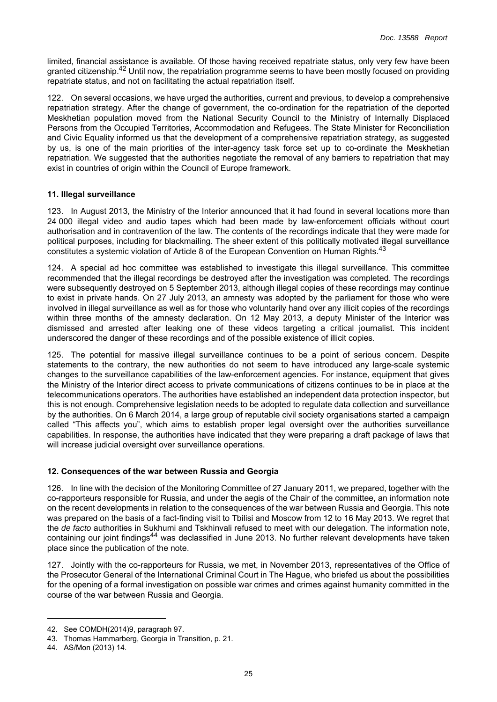limited, financial assistance is available. Of those having received repatriate status, only very few have been granted citizenship.42 Until now, the repatriation programme seems to have been mostly focused on providing repatriate status, and not on facilitating the actual repatriation itself.

122. On several occasions, we have urged the authorities, current and previous, to develop a comprehensive repatriation strategy. After the change of government, the co-ordination for the repatriation of the deported Meskhetian population moved from the National Security Council to the Ministry of Internally Displaced Persons from the Occupied Territories, Accommodation and Refugees. The State Minister for Reconciliation and Civic Equality informed us that the development of a comprehensive repatriation strategy, as suggested by us, is one of the main priorities of the inter-agency task force set up to co-ordinate the Meskhetian repatriation. We suggested that the authorities negotiate the removal of any barriers to repatriation that may exist in countries of origin within the Council of Europe framework.

## <span id="page-24-0"></span>**11. Illegal surveillance**

123. In August 2013, the Ministry of the Interior announced that it had found in several locations more than 24 000 illegal video and audio tapes which had been made by law-enforcement officials without court authorisation and in contravention of the law. The contents of the recordings indicate that they were made for political purposes, including for blackmailing. The sheer extent of this politically motivated illegal surveillance constitutes a systemic violation of Article 8 of the European Convention on Human Rights.<sup>43</sup>

124. A special ad hoc committee was established to investigate this illegal surveillance. This committee recommended that the illegal recordings be destroyed after the investigation was completed. The recordings were subsequently destroyed on 5 September 2013, although illegal copies of these recordings may continue to exist in private hands. On 27 July 2013, an amnesty was adopted by the parliament for those who were involved in illegal surveillance as well as for those who voluntarily hand over any illicit copies of the recordings within three months of the amnesty declaration. On 12 May 2013, a deputy Minister of the Interior was dismissed and arrested after leaking one of these videos targeting a critical journalist. This incident underscored the danger of these recordings and of the possible existence of illicit copies.

125. The potential for massive illegal surveillance continues to be a point of serious concern. Despite statements to the contrary, the new authorities do not seem to have introduced any large-scale systemic changes to the surveillance capabilities of the law-enforcement agencies. For instance, equipment that gives the Ministry of the Interior direct access to private communications of citizens continues to be in place at the telecommunications operators. The authorities have established an independent data protection inspector, but this is not enough. Comprehensive legislation needs to be adopted to regulate data collection and surveillance by the authorities. On 6 March 2014, a large group of reputable civil society organisations started a campaign called "This affects you", which aims to establish proper legal oversight over the authorities surveillance capabilities. In response, the authorities have indicated that they were preparing a draft package of laws that will increase judicial oversight over surveillance operations.

## <span id="page-24-1"></span>**12. Consequences of the war between Russia and Georgia**

126. In line with the decision of the Monitoring Committee of 27 January 2011, we prepared, together with the co-rapporteurs responsible for Russia, and under the aegis of the Chair of the committee, an information note on the recent developments in relation to the consequences of the war between Russia and Georgia. This note was prepared on the basis of a fact-finding visit to Tbilisi and Moscow from 12 to 16 May 2013. We regret that the *de facto* authorities in Sukhumi and Tskhinvali refused to meet with our delegation. The information note, containing our joint findings<sup>44</sup> was declassified in June 2013. No further relevant developments have taken place since the publication of the note.

127. Jointly with the co-rapporteurs for Russia, we met, in November 2013, representatives of the Office of the Prosecutor General of the International Criminal Court in The Hague, who briefed us about the possibilities for the opening of a formal investigation on possible war crimes and crimes against humanity committed in the course of the war between Russia and Georgia.

<sup>42.</sup> See COMDH(2014)9, paragraph 97.

<sup>43.</sup> Thomas Hammarberg, Georgia in Transition, p. 21.

<sup>44.</sup> AS/Mon (2013) 14.